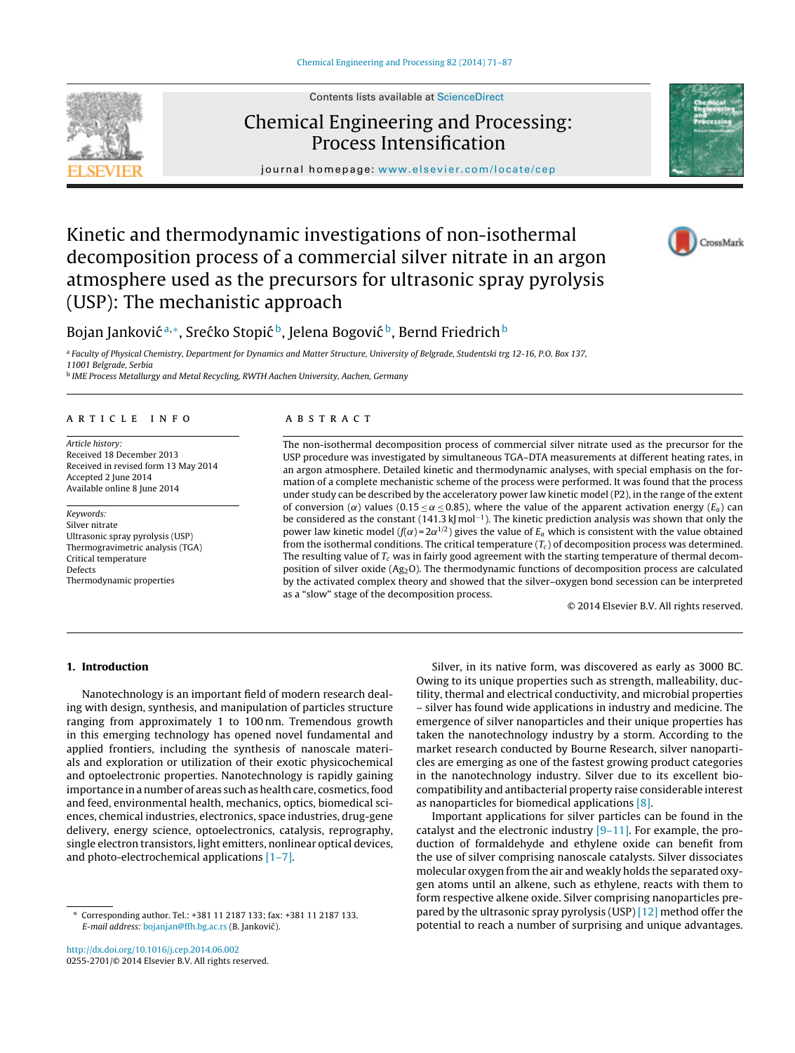Contents lists available at [ScienceDirect](http://www.sciencedirect.com/science/journal/02552701)

# Chemical Engineering and Processing: Process Intensification

journal homepage: [www.elsevier.com/locate/cep](http://www.elsevier.com/locate/cep)

# Kinetic and thermodynamic investigations of non-isothermal decomposition process of a commercial silver nitrate in an argon atmosphere used as the precursors for ultrasonic spray pyrolysis (USP): The mechanistic approach



<sup>a</sup> Faculty of Physical Chemistry, Department for Dynamics and Matter Structure, University of Belgrade, Studentski trg 12-16, P.O. Box 137,

11001 Belgrade, Serbia

<sup>b</sup> IME Process Metallurgy and Metal Recycling, RWTH Aachen University, Aachen, Germany

## a r t i c l e i n f o

Article history: Received 18 December 2013 Received in revised form 13 May 2014 Accepted 2 June 2014 Available online 8 June 2014

Keywords: Silver nitrate Ultrasonic spray pyrolysis (USP) Thermogravimetric analysis (TGA) Critical temperature Defects Thermodynamic properties

## A B S T R A C T

The non-isothermal decomposition process of commercial silver nitrate used as the precursor for the USP procedure was investigated by simultaneous TGA–DTA measurements at different heating rates, in an argon atmosphere. Detailed kinetic and thermodynamic analyses, with special emphasis on the formation of a complete mechanistic scheme of the process were performed. It was found that the process under study can be described by the acceleratory power law kinetic model (P2), in the range of the extent of conversion ( $\alpha$ ) values (0.15  $\leq \alpha \leq$  0.85), where the value of the apparent activation energy ( $E_a$ ) can be considered as the constant (141.3 kJ mol<sup>-1</sup>). The kinetic prediction analysis was shown that only the power law kinetic model ( $f(\alpha) = 2\alpha^{1/2}$ ) gives the value of  $E_a$  which is consistent with the value obtained from the isothermal conditions. The critical temperature  $(T_c)$  of decomposition process was determined. The resulting value of  $T_c$  was in fairly good agreement with the starting temperature of thermal decomposition of silver oxide (Ag2O). The thermodynamic functions of decomposition process are calculated by the activated complex theory and showed that the silver–oxygen bond secession can be interpreted as a "slow" stage of the decomposition process.

© 2014 Elsevier B.V. All rights reserved.

# 1. Introduction

Nanotechnology is an important field of modern research dealing with design, synthesis, and manipulation of particles structure ranging from approximately 1 to 100 nm. Tremendous growth in this emerging technology has opened novel fundamental and applied frontiers, including the synthesis of nanoscale materials and exploration or utilization of their exotic physicochemical and optoelectronic properties. Nanotechnology is rapidly gaining importance in a number of areas such as health care, cosmetics, food and feed, environmental health, mechanics, optics, biomedical sciences, chemical industries, electronics, space industries, drug-gene delivery, energy science, optoelectronics, catalysis, reprography, single electron transistors, light emitters, nonlinear optical devices, and photo-electrochemical applications [\[1–7\].](#page-15-0)

– silver has found wide applications in industry and medicine. The emergence of silver nanoparticles and their unique properties has taken the nanotechnology industry by a storm. According to the market research conducted by Bourne Research, silver nanoparticles are emerging as one of the fastest growing product categories in the nanotechnology industry. Silver due to its excellent biocompatibility and antibacterial property raise considerable interest as nanoparticles for biomedical applications [\[8\].](#page-15-0) Important applications for silver particles can be found in the catalyst and the electronic industry [\[9–11\].](#page-15-0) For example, the pro-

Silver, in its native form, was discovered as early as 3000 BC. Owing to its unique properties such as strength, malleability, ductility, thermal and electrical conductivity, and microbial properties

duction of formaldehyde and ethylene oxide can benefit from the use of silver comprising nanoscale catalysts. Silver dissociates molecular oxygen from the air and weakly holds the separated oxygen atoms until an alkene, such as ethylene, reacts with them to form respective alkene oxide. Silver comprising nanoparticles prepared by the ultrasonic spray pyrolysis (USP) [\[12\]](#page-15-0) method offer the potential to reach a number of surprising and unique advantages.







<sup>∗</sup> Corresponding author. Tel.: +381 11 2187 133; fax: +381 11 2187 133. E-mail address: [bojanjan@ffh.bg.ac.rs](mailto:bojanjan@ffh.bg.ac.rs) (B. Jankovic). ´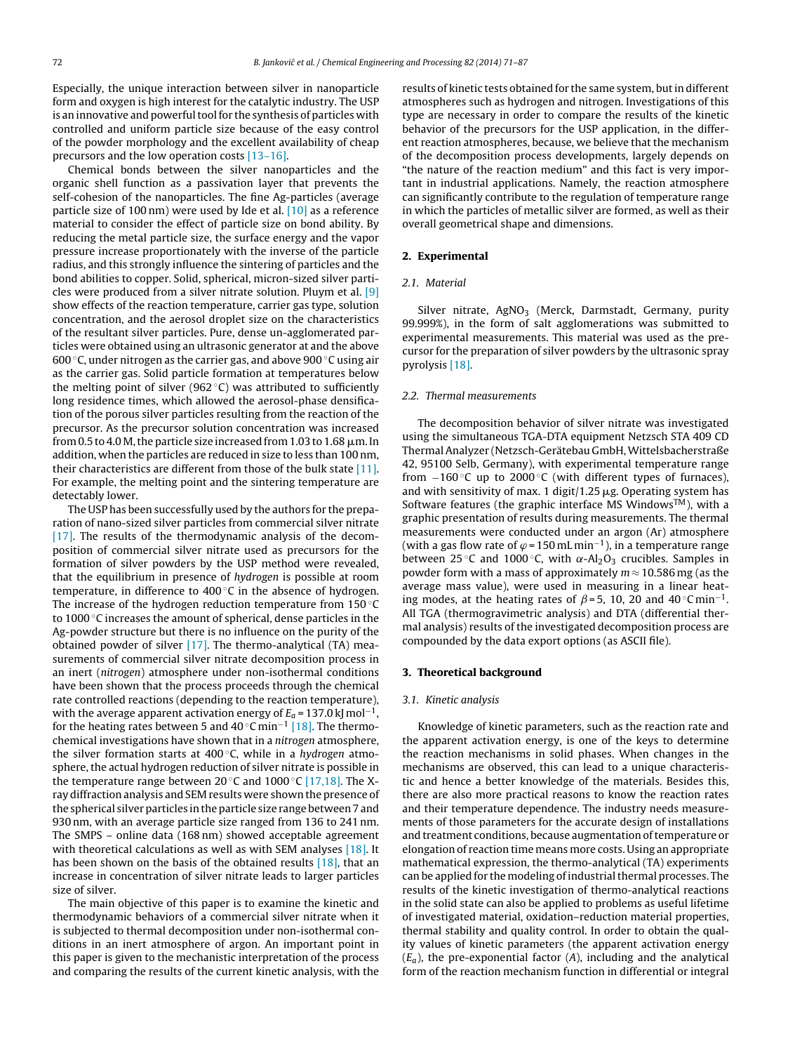Especially, the unique interaction between silver in nanoparticle form and oxygen is high interest for the catalytic industry. The USP is an innovative and powerful tool for the synthesis of particles with controlled and uniform particle size because of the easy control of the powder morphology and the excellent availability of cheap precursors and the low operation costs [\[13–16\].](#page-15-0)

Chemical bonds between the silver nanoparticles and the organic shell function as a passivation layer that prevents the self-cohesion of the nanoparticles. The fine Ag-particles (average particle size of 100 nm) were used by Ide et al. [\[10\]](#page-15-0) as a reference material to consider the effect of particle size on bond ability. By reducing the metal particle size, the surface energy and the vapor pressure increase proportionately with the inverse of the particle radius, and this strongly influence the sintering of particles and the bond abilities to copper. Solid, spherical, micron-sized silver particles were produced from a silver nitrate solution. Pluym et al. [\[9\]](#page-15-0) show effects of the reaction temperature, carrier gas type, solution concentration, and the aerosol droplet size on the characteristics of the resultant silver particles. Pure, dense un-agglomerated particles were obtained using an ultrasonic generator at and the above 600 ◦C, under nitrogen as the carrier gas, and above 900 ◦C using air as the carrier gas. Solid particle formation at temperatures below the melting point of silver (962 $°C$ ) was attributed to sufficiently long residence times, which allowed the aerosol-phase densification of the porous silver particles resulting from the reaction of the precursor. As the precursor solution concentration was increased from 0.5 to 4.0 M, the particle size increased from 1.03 to 1.68  $\mu$ m. In addition, when the particles are reduced in size to less than 100 nm, their characteristics are different from those of the bulk state [\[11\].](#page-15-0) For example, the melting point and the sintering temperature are detectably lower.

The USP has been successfully used by the authors for the preparation of nano-sized silver particles from commercial silver nitrate [\[17\].](#page-15-0) The results of the thermodynamic analysis of the decomposition of commercial silver nitrate used as precursors for the formation of silver powders by the USP method were revealed, that the equilibrium in presence of hydrogen is possible at room temperature, in difference to  $400\degree$ C in the absence of hydrogen. The increase of the hydrogen reduction temperature from  $150^{\circ}$ C to 1000 ℃ increases the amount of spherical, dense particles in the Ag-powder structure but there is no influence on the purity of the obtained powder of silver [\[17\].](#page-15-0) The thermo-analytical (TA) measurements of commercial silver nitrate decomposition process in an inert (nitrogen) atmosphere under non-isothermal conditions have been shown that the process proceeds through the chemical rate controlled reactions (depending to the reaction temperature), with the average apparent activation energy of  $E_a$  = 137.0 kJ mol $^{-1},$ for the heating rates between 5 and 40 °C min<sup>-1</sup> [\[18\].](#page-15-0) The thermochemical investigations have shown that in a nitrogen atmosphere, the silver formation starts at  $400^{\circ}$ C, while in a hydrogen atmosphere, the actual hydrogen reduction of silver nitrate is possible in the temperature range between 20 °C and 1000 °C [\[17,18\].](#page-15-0) The Xray diffraction analysis and SEM results were shown the presence of the spherical silver particles in the particle size range between 7 and 930 nm, with an average particle size ranged from 136 to 241 nm. The SMPS – online data (168 nm) showed acceptable agreement with theoretical calculations as well as with SEM analyses [\[18\].](#page-15-0) It has been shown on the basis of the obtained results [\[18\],](#page-15-0) that an increase in concentration of silver nitrate leads to larger particles size of silver.

The main objective of this paper is to examine the kinetic and thermodynamic behaviors of a commercial silver nitrate when it is subjected to thermal decomposition under non-isothermal conditions in an inert atmosphere of argon. An important point in this paper is given to the mechanistic interpretation of the process and comparing the results of the current kinetic analysis, with the

results of kinetic tests obtained for the same system, but in different atmospheres such as hydrogen and nitrogen. Investigations of this type are necessary in order to compare the results of the kinetic behavior of the precursors for the USP application, in the different reaction atmospheres, because, we believe that the mechanism of the decomposition process developments, largely depends on "the nature of the reaction medium" and this fact is very important in industrial applications. Namely, the reaction atmosphere can significantly contribute to the regulation of temperature range in which the particles of metallic silver are formed, as well as their overall geometrical shape and dimensions.

## 2. Experimental

## 2.1. Material

Silver nitrate,  $AgNO<sub>3</sub>$  (Merck, Darmstadt, Germany, purity 99.999%), in the form of salt agglomerations was submitted to experimental measurements. This material was used as the precursor for the preparation of silver powders by the ultrasonic spray pyrolysis [\[18\].](#page-15-0)

#### 2.2. Thermal measurements

The decomposition behavior of silver nitrate was investigated using the simultaneous TGA-DTA equipment Netzsch STA 409 CD ThermalAnalyzer (Netzsch-Gerätebau GmbH,Wittelsbacherstraße 42, 95100 Selb, Germany), with experimental temperature range from  $-160$  °C up to 2000 °C (with different types of furnaces), and with sensitivity of max. 1 digit/1.25  $\mu$ g. Operating system has Software features (the graphic interface MS Windows<sup>TM</sup>), with a graphic presentation of results during measurements. The thermal measurements were conducted under an argon (Ar) atmosphere (with a gas flow rate of  $\varphi$  = 150 mL min<sup>-1</sup>), in a temperature range between 25 °C and 1000 °C, with  $\alpha$ -Al<sub>2</sub>O<sub>3</sub> crucibles. Samples in powder form with a mass of approximately  $m \approx 10.586$  mg (as the average mass value), were used in measuring in a linear heating modes, at the heating rates of  $\beta$ =5, 10, 20 and 40°Cmin<sup>-1</sup>. All TGA (thermogravimetric analysis) and DTA (differential thermal analysis) results of the investigated decomposition process are compounded by the data export options (as ASCII file).

#### 3. Theoretical background

## 3.1. Kinetic analysis

Knowledge of kinetic parameters, such as the reaction rate and the apparent activation energy, is one of the keys to determine the reaction mechanisms in solid phases. When changes in the mechanisms are observed, this can lead to a unique characteristic and hence a better knowledge of the materials. Besides this, there are also more practical reasons to know the reaction rates and their temperature dependence. The industry needs measurements of those parameters for the accurate design of installations and treatment conditions, because augmentation of temperature or elongation of reaction time means more costs. Using an appropriate mathematical expression, the thermo-analytical (TA) experiments can be applied for the modeling of industrial thermal processes. The results of the kinetic investigation of thermo-analytical reactions in the solid state can also be applied to problems as useful lifetime of investigated material, oxidation–reduction material properties, thermal stability and quality control. In order to obtain the quality values of kinetic parameters (the apparent activation energy  $(E_a)$ , the pre-exponential factor (A), including and the analytical form of the reaction mechanism function in differential or integral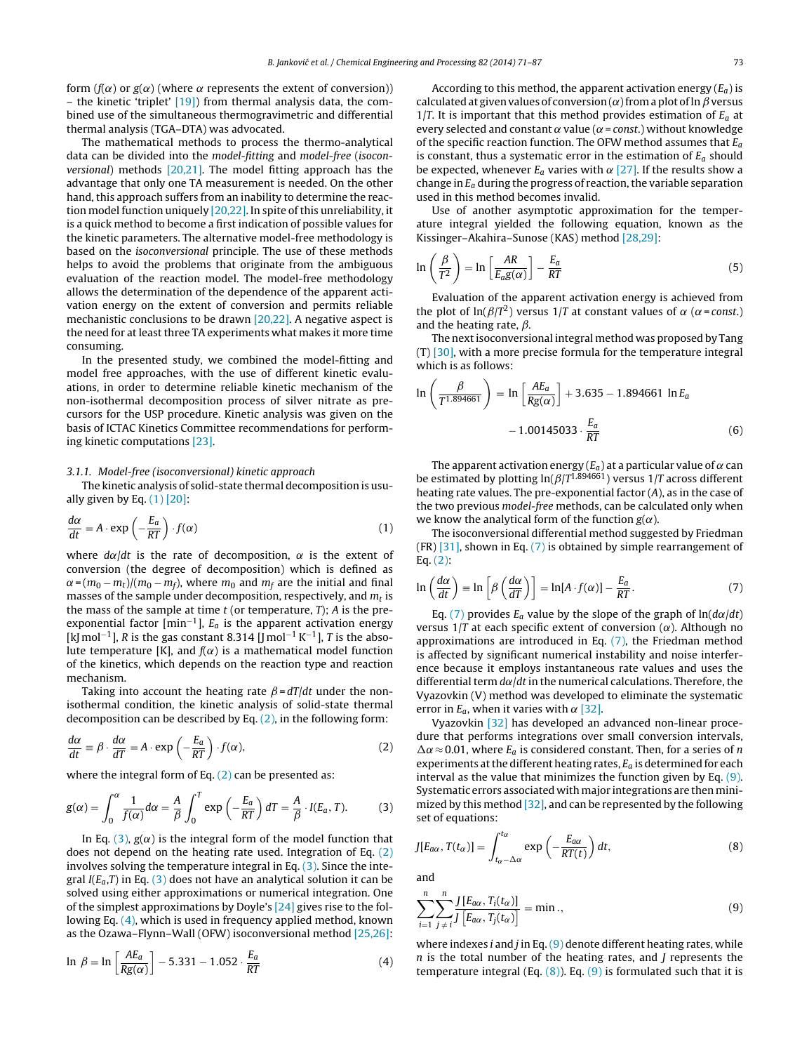<span id="page-2-0"></span>form ( $f(\alpha)$  or  $g(\alpha)$  (where  $\alpha$  represents the extent of conversion)) – the kinetic 'triplet'  $[19]$ ) from thermal analysis data, the combined use of the simultaneous thermogravimetric and differential thermal analysis (TGA–DTA) was advocated.

The mathematical methods to process the thermo-analytical data can be divided into the model-fitting and model-free (isoconversional) methods  $[20,21]$ . The model fitting approach has the advantage that only one TA measurement is needed. On the other hand, this approach suffers from an inability to determine the reaction model function uniquely  $[20,22]$ . In spite of this unreliability, it is a quick method to become a first indication of possible values for the kinetic parameters. The alternative model-free methodology is based on the isoconversional principle. The use of these methods helps to avoid the problems that originate from the ambiguous evaluation of the reaction model. The model-free methodology allows the determination of the dependence of the apparent activation energy on the extent of conversion and permits reliable mechanistic conclusions to be drawn [\[20,22\].](#page-15-0) A negative aspect is the need for at least three TA experiments what makes it more time consuming.

In the presented study, we combined the model-fitting and model free approaches, with the use of different kinetic evaluations, in order to determine reliable kinetic mechanism of the non-isothermal decomposition process of silver nitrate as precursors for the USP procedure. Kinetic analysis was given on the basis of ICTAC Kinetics Committee recommendations for performing kinetic computations [\[23\].](#page-15-0)

## 3.1.1. Model-free (isoconversional) kinetic approach

The kinetic analysis of solid-state thermal decomposition is usually given by Eq.  $(1)$  [\[20\]:](#page-15-0)

$$
\frac{d\alpha}{dt} = A \cdot \exp\left(-\frac{E_a}{RT}\right) \cdot f(\alpha) \tag{1}
$$

where  $d\alpha/dt$  is the rate of decomposition,  $\alpha$  is the extent of conversion (the degree of decomposition) which is defined as  $\alpha$  = (m $_0$  – m $_t$ )/(m $_0$  – m $_f$ ), where m $_0$  and m $_f$  are the initial and final masses of the sample under decomposition, respectively, and  $m_t$  is the mass of the sample at time  $t$  (or temperature,  $T$ );  $A$  is the preexponential factor  ${\rm [min^{-1}]}$ ,  $E_a$  is the apparent activation energy [kJ mol<sup>-1</sup>], R is the gas constant 8.314 [J mol<sup>-1</sup> K<sup>-1</sup>], T is the absolute temperature [K], and  $f(\alpha)$  is a mathematical model function of the kinetics, which depends on the reaction type and reaction mechanism.

Taking into account the heating rate  $\beta = dT/dt$  under the nonisothermal condition, the kinetic analysis of solid-state thermal decomposition can be described by Eq. (2), in the following form:

$$
\frac{d\alpha}{dt} \equiv \beta \cdot \frac{d\alpha}{dT} = A \cdot \exp\left(-\frac{E_a}{RT}\right) \cdot f(\alpha),\tag{2}
$$

where the integral form of Eq.  $(2)$  can be presented as:

$$
g(\alpha) = \int_0^{\alpha} \frac{1}{f(\alpha)} d\alpha = \frac{A}{\beta} \int_0^T \exp\left(-\frac{E_a}{RT}\right) dT = \frac{A}{\beta} \cdot I(E_a, T). \tag{3}
$$

In Eq. (3),  $g(\alpha)$  is the integral form of the model function that does not depend on the heating rate used. Integration of Eq. (2) involves solving the temperature integral in Eq. (3). Since the integral  $I(E_a,T)$  in Eq. (3) does not have an analytical solution it can be solved using either approximations or numerical integration. One of the simplest approximations by Doyle's [\[24\]](#page-15-0) gives rise to the following Eq. (4), which is used in frequency applied method, known as the Ozawa–Flynn–Wall (OFW) isoconversional method [\[25,26\]:](#page-15-0)

$$
\ln \beta = \ln \left[ \frac{AE_a}{Rg(\alpha)} \right] - 5.331 - 1.052 \cdot \frac{E_a}{RT}
$$
 (4)

According to this method, the apparent activation energy  $(E_a)$  is calculated at given values of conversion ( $\alpha$ ) from a plot of ln  $\beta$  versus 1/T. It is important that this method provides estimation of  $E_a$  at every selected and constant  $\alpha$  value ( $\alpha$  = const.) without knowledge of the specific reaction function. The OFW method assumes that  $E_a$ is constant, thus a systematic error in the estimation of  $E_a$  should be expected, whenever  $E_a$  varies with  $\alpha$  [\[27\].](#page-15-0) If the results show a change in  $E_a$  during the progress of reaction, the variable separation used in this method becomes invalid.

Use of another asymptotic approximation for the temperature integral yielded the following equation, known as the Kissinger–Akahira–Sunose (KAS) method [\[28,29\]:](#page-15-0)

$$
\ln\left(\frac{\beta}{T^2}\right) = \ln\left[\frac{AR}{E_a g(\alpha)}\right] - \frac{E_a}{RT}
$$
\n(5)

Evaluation of the apparent activation energy is achieved from the plot of  $\ln(\beta/T^2)$  versus 1/T at constant values of  $\alpha$  ( $\alpha$  = const.) and the heating rate,  $\beta$ .

The nextisoconversional integral method was proposed by Tang (T) [\[30\],](#page-15-0) with a more precise formula for the temperature integral which is as follows:

$$
\ln\left(\frac{\beta}{T^{1.894661}}\right) = \ln\left[\frac{AE_a}{Rg(\alpha)}\right] + 3.635 - 1.894661 \ln E_a
$$

$$
-1.00145033 \cdot \frac{E_a}{RT}
$$
(6)

The apparent activation energy ( $E_a$ ) at a particular value of  $\alpha$  can be estimated by plotting  $\ln(\beta/T^{1.894661})$  versus 1/T across different heating rate values. The pre-exponential factor (A), as in the case of the two previous model-free methods, can be calculated only when we know the analytical form of the function  $g(\alpha)$ .

The isoconversional differential method suggested by Friedman (FR) [\[31\],](#page-16-0) shown in Eq. (7) is obtained by simple rearrangement of Eq. (2):

$$
\ln\left(\frac{d\alpha}{dt}\right) \equiv \ln\left[\beta\left(\frac{d\alpha}{dT}\right)\right] = \ln[A \cdot f(\alpha)] - \frac{E_a}{RT}.
$$
 (7)

Eq. (7) provides  $E_a$  value by the slope of the graph of  $ln(d\alpha/dt)$ versus  $1/T$  at each specific extent of conversion ( $\alpha$ ). Although no approximations are introduced in Eq. (7), the Friedman method is affected by significant numerical instability and noise interference because it employs instantaneous rate values and uses the differential term  $d\alpha/dt$  in the numerical calculations. Therefore, the Vyazovkin (V) method was developed to eliminate the systematic error in  $E_a$ , when it varies with  $\alpha$  [\[32\].](#page-16-0)

Vyazovkin [\[32\]](#page-16-0) has developed an advanced non-linear procedure that performs integrations over small conversion intervals,  $\Delta \alpha \approx 0.01$ , where  $E_a$  is considered constant. Then, for a series of n experiments at the different heating rates,  $E_a$  is determined for each interval as the value that minimizes the function given by Eq. (9). Systematic errors associated with major integrations are then minimized by this method  $[32]$ , and can be represented by the following set of equations:

$$
J[E_{a\alpha}, T(t_{\alpha})] = \int_{t_{\alpha} - \Delta\alpha}^{t_{\alpha}} \exp\left(-\frac{E_{a\alpha}}{RT(t)}\right) dt, \tag{8}
$$

and

$$
\sum_{i=1}^{n} \sum_{j \neq i}^{n} \frac{J\left[E_{\alpha\alpha}, T_{i}(t_{\alpha})\right]}{J\left[E_{\alpha\alpha}, T_{j}(t_{\alpha})\right]} = \min., \tag{9}
$$

where indexes i and j in Eq.  $(9)$  denote different heating rates, while  $n$  is the total number of the heating rates, and  $J$  represents the temperature integral (Eq.  $(8)$ ). Eq.  $(9)$  is formulated such that it is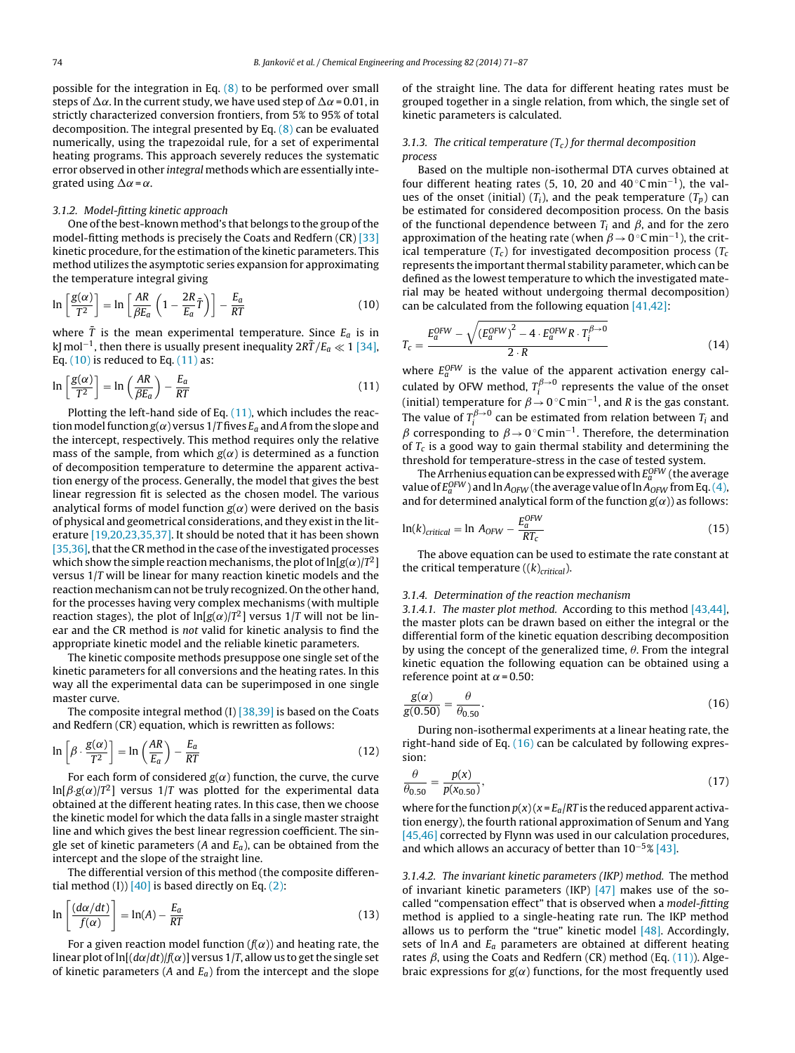<span id="page-3-0"></span>possible for the integration in Eq.  $(8)$  to be performed over small steps of  $\Delta \alpha$ . In the current study, we have used step of  $\Delta \alpha$  = 0.01, in strictly characterized conversion frontiers, from 5% to 95% of total decomposition. The integral presented by Eq. [\(8\)](#page-2-0) can be evaluated numerically, using the trapezoidal rule, for a set of experimental heating programs. This approach severely reduces the systematic error observed in other integral methods which are essentially integrated using  $\Delta \alpha = \alpha$ .

### 3.1.2. Model-fitting kinetic approach

One of the best-known method's that belongs to the group of the model-fitting methods is precisely the Coats and Redfern (CR) [\[33\]](#page-16-0) kinetic procedure, for the estimation of the kinetic parameters. This method utilizes the asymptotic series expansion for approximating the temperature integral giving

$$
\ln\left[\frac{g(\alpha)}{T^2}\right] = \ln\left[\frac{AR}{\beta E_a}\left(1 - \frac{2R}{E_a}\bar{T}\right)\right] - \frac{E_a}{RT}
$$
(10)

where  $\bar{T}$  is the mean experimental temperature. Since  $E_a$  is in kJ mol $^{-1}$ , then there is usually present inequality 2R $\bar{T}/E_a \ll 1$  [\[34\],](#page-16-0) Eq.  $(10)$  is reduced to Eq.  $(11)$  as:

$$
\ln\left[\frac{g(\alpha)}{T^2}\right] = \ln\left(\frac{AR}{\beta E_a}\right) - \frac{E_a}{RT}
$$
\n(11)

Plotting the left-hand side of Eq.  $(11)$ , which includes the reaction model function  $g(\alpha)$  versus 1/T fives  $E_a$  and A from the slope and the intercept, respectively. This method requires only the relative mass of the sample, from which  $g(\alpha)$  is determined as a function of decomposition temperature to determine the apparent activation energy of the process. Generally, the model that gives the best linear regression fit is selected as the chosen model. The various analytical forms of model function  $g(\alpha)$  were derived on the basis of physical and geometrical considerations, and they existin the literature [\[19,20,23,35,37\].](#page-15-0) It should be noted that it has been shown [35,36], that the CR method in the case of the investigated processes which show the simple reaction mechanisms, the plot of  $\ln[g(\alpha)/T^2]$ versus 1/T will be linear for many reaction kinetic models and the reaction mechanism can not be truly recognized. On the other hand, for the processes having very complex mechanisms (with multiple reaction stages), the plot of ln[g( $\alpha$ )/T<sup>2</sup>] versus 1/T will not be linear and the CR method is not valid for kinetic analysis to find the appropriate kinetic model and the reliable kinetic parameters.

The kinetic composite methods presuppose one single set of the kinetic parameters for all conversions and the heating rates. In this way all the experimental data can be superimposed in one single master curve.

The composite integral method (I) [\[38,39\]](#page-16-0) is based on the Coats and Redfern (CR) equation, which is rewritten as follows:

$$
\ln\left[\beta \cdot \frac{g(\alpha)}{T^2}\right] = \ln\left(\frac{AR}{E_a}\right) - \frac{E_a}{RT}
$$
\n(12)

For each form of considered  $g(\alpha)$  function, the curve, the curve  $\ln[\beta\text{-}g(\alpha)/T^2]$  versus 1/T was plotted for the experimental data obtained at the different heating rates. In this case, then we choose the kinetic model for which the data falls in a single master straight line and which gives the best linear regression coefficient. The single set of kinetic parameters (A and  $E_a$ ), can be obtained from the intercept and the slope of the straight line.

The differential version of this method (the composite differential method (I))  $[40]$  is based directly on Eq.  $(2)$ :

$$
\ln\left[\frac{(d\alpha/dt)}{f(\alpha)}\right] = \ln(A) - \frac{E_a}{RT}
$$
\n(13)

For a given reaction model function  $(f(\alpha))$  and heating rate, the linear plot of  $ln[(d\alpha/dt)/f(\alpha)]$  versus 1/T, allow us to get the single set of kinetic parameters (A and  $E_a$ ) from the intercept and the slope of the straight line. The data for different heating rates must be grouped together in a single relation, from which, the single set of kinetic parameters is calculated.

# 3.1.3. The critical temperature  $(T_c)$  for thermal decomposition process

Based on the multiple non-isothermal DTA curves obtained at four different heating rates (5, 10, 20 and  $40 °C min^{-1}$ ), the values of the onset (initial)  $(T_i)$ , and the peak temperature  $(T_p)$  can be estimated for considered decomposition process. On the basis of the functional dependence between  $T_i$  and  $\beta$ , and for the zero approximation of the heating rate (when  $\beta \rightarrow 0^{\circ}$ C min<sup>-1</sup>), the critical temperature  $(T_c)$  for investigated decomposition process  $(T_c)$ represents the important thermal stability parameter, which can be defined as the lowest temperature to which the investigated material may be heated without undergoing thermal decomposition) can be calculated from the following equation [\[41,42\]:](#page-16-0)

$$
T_c = \frac{E_a^{OFW} - \sqrt{(E_a^{OFW})^2 - 4 \cdot E_a^{OFW} R \cdot T_i^{\beta \to 0}}}{2 \cdot R}
$$
 (14)

where  $E_a^{OFW}$  is the value of the apparent activation energy calculated by OFW method,  $T_i^{\beta \to 0}$  represents the value of the onset (initial) temperature for  $\beta \!\to\! 0^{\,\circ}\mathsf{C}\,\mathsf{min}^{-1}$ , and R is the gas constant. The value of  $T_i^{\beta\rightarrow 0}$  can be estimated from relation between  $T_i$  and  $\beta$  corresponding to  $\beta \rightarrow 0^{\circ}$ C min<sup>-1</sup>. Therefore, the determination of  $T_c$  is a good way to gain thermal stability and determining the threshold for temperature-stress in the case of tested system.

The Arrhenius equation can be expressed with  $E_a^{OFW}$  (the average value of  $E^{OFW}_a$  ) and  $\ln A_{OFW}$  (the average value of  $\ln A_{OFW}$  from Eq. [\(4\),](#page-2-0) and for determined analytical form of the function  $g(\alpha)$ ) as follows:

$$
\ln(k)_{critical} = \ln A_{OFW} - \frac{E_a^{OFW}}{RT_c}
$$
\n(15)

The above equation can be used to estimate the rate constant at the critical temperature  $((k)_{critical})$ .

# 3.1.4. Determination of the reaction mechanism

3.1.4.1. The master plot method. According to this method [\[43,44\],](#page-16-0) the master plots can be drawn based on either the integral or the differential form of the kinetic equation describing decomposition by using the concept of the generalized time,  $\theta$ . From the integral kinetic equation the following equation can be obtained using a reference point at  $\alpha$  = 0.50:

$$
\frac{g(\alpha)}{g(0.50)} = \frac{\theta}{\theta_{0.50}}.
$$
\n(16)

During non-isothermal experiments at a linear heating rate, the right-hand side of Eq.  $(16)$  can be calculated by following expression:

$$
\frac{\theta}{\theta_{0.50}} = \frac{p(x)}{p(x_{0.50})},\tag{17}
$$

where for the function  $p(x)(x) = E_a/RT$  is the reduced apparent activation energy), the fourth rational approximation of Senum and Yang [\[45,46\]](#page-16-0) corrected by Flynn was used in our calculation procedures, and which allows an accuracy of better than  $10^{-5}$ % [\[43\].](#page-16-0)

3.1.4.2. The invariant kinetic parameters (IKP) method. The method of invariant kinetic parameters (IKP)  $[47]$  makes use of the socalled "compensation effect" that is observed when a model-fitting method is applied to a single-heating rate run. The IKP method allows us to perform the "true" kinetic model  $[48]$ . Accordingly, sets of lnA and  $E_a$  parameters are obtained at different heating rates  $\beta$ , using the Coats and Redfern (CR) method (Eq. (11)). Algebraic expressions for  $g(\alpha)$  functions, for the most frequently used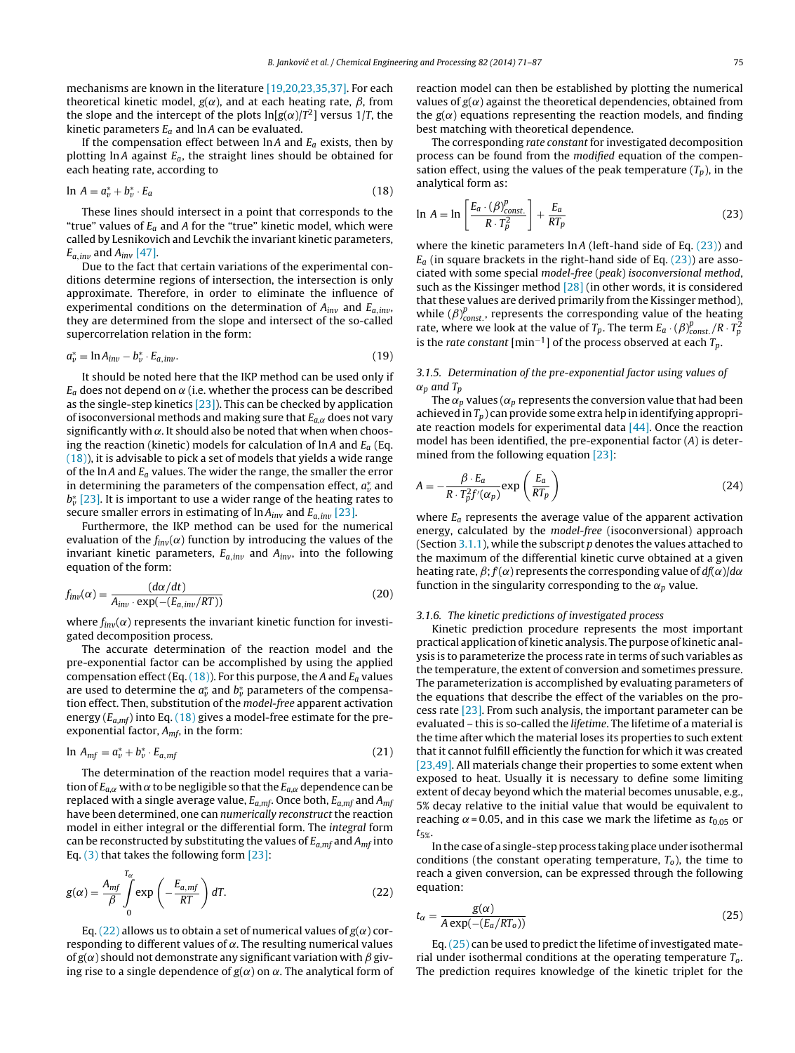<span id="page-4-0"></span>mechanisms are known in the literature [\[19,20,23,35,37\].](#page-15-0) For each theoretical kinetic model,  $g(\alpha)$ , and at each heating rate,  $\beta$ , from the slope and the intercept of the plots  $ln[g(\alpha)/T^2]$  versus 1/T, the kinetic parameters  $E_a$  and lnA can be evaluated.

If the compensation effect between  $\ln A$  and  $E_a$  exists, then by plotting  $\ln A$  against  $E_a$ , the straight lines should be obtained for each heating rate, according to

$$
\ln A = a_v^* + b_v^* \cdot E_a \tag{18}
$$

These lines should intersect in a point that corresponds to the "true" values of  $E_a$  and A for the "true" kinetic model, which were called by Lesnikovich and Levchik the invariant kinetic parameters,  $E_{a,inv}$  and  $A_{inv}$  [\[47\].](#page-16-0)

Due to the fact that certain variations of the experimental conditions determine regions of intersection, the intersection is only approximate. Therefore, in order to eliminate the influence of experimental conditions on the determination of  $A_{inv}$  and  $E_{a,inv}$ , they are determined from the slope and intersect of the so-called supercorrelation relation in the form:

$$
a_v^* = \ln A_{inv} - b_v^* \cdot E_{a, inv}.\tag{19}
$$

It should be noted here that the IKP method can be used only if  $E_a$  does not depend on  $\alpha$  (i.e. whether the process can be described as the single-step kinetics [\[23\]\).](#page-15-0) This can be checked by application of isoconversional methods and making sure that  $E_{a,\alpha}$  does not vary significantly with  $\alpha$ . It should also be noted that when when choosing the reaction (kinetic) models for calculation of  $\ln A$  and  $E_a$  (Eq. (18)), it is advisable to pick a set of models that yields a wide range of the lnA and  $E_a$  values. The wider the range, the smaller the error in determining the parameters of the compensation effect,  $a_v^*$  and  $b_v^{\ast}$  [\[23\].](#page-15-0) It is important to use a wider range of the heating rates to secure smaller errors in estimating of  $\ln A_{inv}$  and  $E_{a,inv}$  [\[23\].](#page-15-0)

Furthermore, the IKP method can be used for the numerical evaluation of the  $f_{inv}(\alpha)$  function by introducing the values of the invariant kinetic parameters,  $E_{a,inv}$  and  $A_{inv}$ , into the following equation of the form:

$$
f_{inv}(\alpha) = \frac{(d\alpha/dt)}{A_{inv} \cdot \exp(-(E_{a,inv}/RT))}
$$
(20)

where  $f_{inv}(\alpha)$  represents the invariant kinetic function for investigated decomposition process.

The accurate determination of the reaction model and the pre-exponential factor can be accomplished by using the applied compensation effect (Eq.  $(18)$ ). For this purpose, the A and  $E_a$  values are used to determine the  $a^*_{\nu}$  and  $b^*_{\nu}$  parameters of the compensation effect. Then, substitution of the model-free apparent activation energy ( $E_{a,mf}$ ) into Eq. (18) gives a model-free estimate for the preexponential factor,  $A_{mf}$ , in the form:

$$
\ln A_{mf} = a_v^* + b_v^* \cdot E_{a, mf} \tag{21}
$$

The determination of the reaction model requires that a variation of  $E_{a,\alpha}$  with  $\alpha$  to be negligible so that the  $E_{a,\alpha}$  dependence can be replaced with a single average value,  $E_{a, mf}$ . Once both,  $E_{a, mf}$  and  $A_{mf}$ have been determined, one can numerically reconstruct the reaction model in either integral or the differential form. The integral form can be reconstructed by substituting the values of  $E_{a,mf}$  and  $A_{mf}$  into Eq.  $(3)$  that takes the following form  $[23]$ :

$$
g(\alpha) = \frac{A_{mf}}{\beta} \int_{0}^{T_{\alpha}} \exp\left(-\frac{E_{a, mf}}{RT}\right) dT.
$$
 (22)

Eq. (22) allows us to obtain a set of numerical values of  $g(\alpha)$  corresponding to different values of  $\alpha$ . The resulting numerical values of  $g(\alpha)$  should not demonstrate any significant variation with  $\beta$  giving rise to a single dependence of  $g(\alpha)$  on  $\alpha$ . The analytical form of reaction model can then be established by plotting the numerical values of  $g(\alpha)$  against the theoretical dependencies, obtained from the  $g(\alpha)$  equations representing the reaction models, and finding best matching with theoretical dependence.

The corresponding rate constant for investigated decomposition process can be found from the modified equation of the compensation effect, using the values of the peak temperature  $(T_p)$ , in the analytical form as:

$$
\ln A = \ln \left[ \frac{E_a \cdot (\beta)_{const.}^p}{R \cdot T_p^2} \right] + \frac{E_a}{RT_p} \tag{23}
$$

where the kinetic parameters  $\ln A$  (left-hand side of Eq. (23)) and  $E_a$  (in square brackets in the right-hand side of Eq. (23)) are associated with some special model-free (peak) isoconversional method, such as the Kissinger method [\[28\]](#page-15-0) (in other words, it is considered that these values are derived primarily from the Kissinger method), while  $(\beta)_{const.}^p$ , represents the corresponding value of the heating rate, where we look at the value of  $T_p$ . The term  $E_a \cdot (\beta)_{const.}^p / R \cdot T_p^2$ is the rate constant  ${\rm [min^{-1}]}$  of the process observed at each  $T_p$ .

# 3.1.5. Determination of the pre-exponential factor using values of  $\alpha_p$  and  $T_p$

The  $\alpha_p$  values ( $\alpha_p$  represents the conversion value that had been achieved in  $T_p$ ) can provide some extra help in identifying appropriate reaction models for experimental data  $[44]$ . Once the reaction model has been identified, the pre-exponential factor (A) is determined from the following equation [\[23\]:](#page-15-0)

$$
A = -\frac{\beta \cdot E_a}{R \cdot T_p^2 f'(\alpha_p)} \exp\left(\frac{E_a}{RT_p}\right) \tag{24}
$$

where  $E_a$  represents the average value of the apparent activation energy, calculated by the model-free (isoconversional) approach (Section [3.1.1\),](#page-2-0) while the subscript  $p$  denotes the values attached to the maximum of the differential kinetic curve obtained at a given heating rate,  $\beta$ ;  $f(\alpha)$  represents the corresponding value of  $df(\alpha)/d\alpha$ function in the singularity corresponding to the  $\alpha_p$  value.

#### 3.1.6. The kinetic predictions of investigated process

Kinetic prediction procedure represents the most important practical application of kinetic analysis. The purpose of kinetic analysis is to parameterize the process rate in terms of such variables as the temperature, the extent of conversion and sometimes pressure. The parameterization is accomplished by evaluating parameters of the equations that describe the effect of the variables on the process rate [\[23\].](#page-15-0) From such analysis, the important parameter can be evaluated – this is so-called the lifetime. The lifetime of a material is the time after which the material loses its properties to such extent that it cannot fulfill efficiently the function for which it was created [\[23,49\].](#page-15-0) All materials change their properties to some extent when exposed to heat. Usually it is necessary to define some limiting extent of decay beyond which the material becomes unusable, e.g., 5% decay relative to the initial value that would be equivalent to reaching  $\alpha$  = 0.05, and in this case we mark the lifetime as  $t_{0.05}$  or  $t_{5\%}$ 

In the case of a single-step process taking place under isothermal conditions (the constant operating temperature,  $T<sub>o</sub>$ ), the time to reach a given conversion, can be expressed through the following equation:

$$
t_{\alpha} = \frac{g(\alpha)}{A \exp(-(E_a/RT_o))}
$$
\n(25)

Eq. (25) can be used to predict the lifetime of investigated material under isothermal conditions at the operating temperature  $T<sub>o</sub>$ . The prediction requires knowledge of the kinetic triplet for the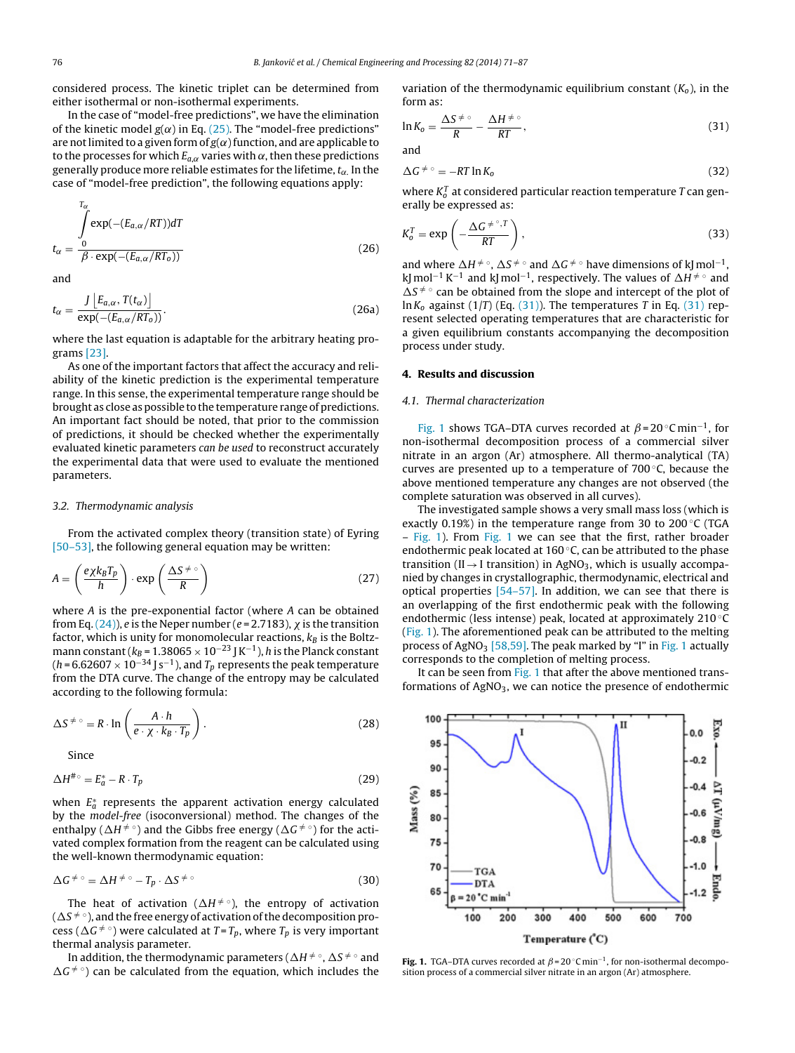<span id="page-5-0"></span>considered process. The kinetic triplet can be determined from either isothermal or non-isothermal experiments.

In the case of "model-free predictions", we have the elimination of the kinetic model  $g(\alpha)$  in Eq. [\(25\).](#page-4-0) The "model-free predictions" are not limited to a given form of  $g(\alpha)$  function, and are applicable to to the processes for which  $E_{a,\alpha}$  varies with  $\alpha$ , then these predictions generally produce more reliable estimates for the lifetime,  $t_{\alpha}$ . In the case of "model-free prediction", the following equations apply:

$$
t_{\alpha} = \frac{\int_{0}^{T_{\alpha}} \exp(-(E_{a,\alpha}/RT))dT}{\beta \cdot \exp(-(E_{a,\alpha}/RT_{o}))}
$$
\n(26)

and

$$
t_{\alpha} = \frac{J\left[E_{a,\alpha}, T(t_{\alpha})\right]}{\exp(-(E_{a,\alpha}/RT_{o}))}.
$$
\n(26a)

where the last equation is adaptable for the arbitrary heating programs [\[23\].](#page-15-0)

As one of the important factors that affect the accuracy and reliability of the kinetic prediction is the experimental temperature range. In this sense, the experimental temperature range should be brought as close as possible to the temperature range of predictions. An important fact should be noted, that prior to the commission of predictions, it should be checked whether the experimentally evaluated kinetic parameters can be used to reconstruct accurately the experimental data that were used to evaluate the mentioned parameters.

#### 3.2. Thermodynamic analysis

From the activated complex theory (transition state) of Eyring [\[50–53\],](#page-16-0) the following general equation may be written:

$$
A = \left(\frac{e\chi k_B T_p}{h}\right) \cdot \exp\left(\frac{\Delta S^{\neq \circ}}{R}\right) \tag{27}
$$

where A is the pre-exponential factor (where A can be obtained from Eq. [\(24\)\),](#page-4-0) e is the Neper number (e = 2.7183),  $\chi$  is the transition factor, which is unity for monomolecular reactions,  $k_B$  is the Boltzmann constant ( $k_{\mathcal{B}}$  = 1.38065  $\times$  10 $^{-23}$  J K $^{-1}$  ),  $h$  is the Planck constant (h=6.62607  $\times$  10<sup>–34</sup> J s $^{-1}$  ), and  $T_p$  represents the peak temperature from the DTA curve. The change of the entropy may be calculated according to the following formula:

$$
\Delta S^{\neq} \circ = R \cdot \ln \left( \frac{A \cdot h}{e \cdot \chi \cdot k_B \cdot T_p} \right). \tag{28}
$$

Since

$$
\Delta H^{\# \circ} = E_a^* - R \cdot T_p \tag{29}
$$

when  $E^*_a$  represents the apparent activation energy calculated by the model-free (isoconversional) method. The changes of the enthalpy ( $\Delta H^{\neq\,\circ}$ ) and the Gibbs free energy ( $\Delta G^{\neq\,\circ}$ ) for the activated complex formation from the reagent can be calculated using the well-known thermodynamic equation:

$$
\Delta G^{\neq \circ} = \Delta H^{\neq \circ} - T_p \cdot \Delta S^{\neq \circ} \tag{30}
$$

The heat of activation ( $\Delta H^{\neq}$ °), the entropy of activation (  $\Delta S$   $\neq$   $\circ$  ), and the free energy of activation of the decomposition process ( $\Delta G^{\neq \circ}$ ) were calculated at T=T<sub>p</sub>, where T<sub>p</sub> is very important thermal analysis parameter.

In addition, the thermodynamic parameters (  $\Delta H^{\neq\,\circ}$  ,  $\Delta S^{\neq\,\circ}$  and  $\Delta G^{\neq \circ}$ ) can be calculated from the equation, which includes the variation of the thermodynamic equilibrium constant  $(K_0)$ , in the form as:

$$
\ln K_o = \frac{\Delta S^{\neq o}}{R} - \frac{\Delta H^{\neq o}}{RT},\tag{31}
$$

and

$$
\Delta G^{\neq \circ} = -RT \ln K_0 \tag{32}
$$

where  $K_o^T$  at considered particular reaction temperature T can generally be expressed as:

$$
K_0^T = \exp\left(-\frac{\Delta G^{\neq \circ}, T}{RT}\right),\tag{33}
$$

and where  $\Delta H^{\neq}$  °,  $\Delta S^{\neq}$  ° and  $\Delta G^{\neq}$  ° have dimensions of kJ mol<sup>-1</sup>, kJ mol<sup>−1</sup> K<sup>−1</sup> and kJ mol<sup>−1</sup>, respectively. The values of  $\Delta H^{\neq\,\circ}$  and  $\Delta S^{\neq \circ}$  can be obtained from the slope and intercept of the plot of  $\ln K_0$  against (1/T) (Eq. (31)). The temperatures T in Eq. (31) represent selected operating temperatures that are characteristic for a given equilibrium constants accompanying the decomposition process under study.

## 4. Results and discussion

#### 4.1. Thermal characterization

Fig. 1 shows TGA–DTA curves recorded at  $\beta$  = 20 °C min<sup>-1</sup>, for non-isothermal decomposition process of a commercial silver nitrate in an argon (Ar) atmosphere. All thermo-analytical (TA) curves are presented up to a temperature of 700 ◦C, because the above mentioned temperature any changes are not observed (the complete saturation was observed in all curves).

The investigated sample shows a very small mass loss (which is exactly 0.19%) in the temperature range from 30 to 200 $\degree$ C (TGA – Fig. 1). From Fig. 1 we can see that the first, rather broader endothermic peak located at 160 $\degree$ C, can be attributed to the phase transition (II  $\rightarrow$  I transition) in AgNO<sub>3</sub>, which is usually accompanied by changes in crystallographic, thermodynamic, electrical and optical properties  $[54-57]$ . In addition, we can see that there is an overlapping of the first endothermic peak with the following endothermic (less intense) peak, located at approximately 210 ◦C (Fig. 1). The aforementioned peak can be attributed to the melting process of AgNO<sub>3</sub> [\[58,59\].](#page-16-0) The peak marked by "I" in Fig. 1 actually corresponds to the completion of melting process.

It can be seen from Fig. 1 that after the above mentioned transformations of  $AgNO<sub>3</sub>$ , we can notice the presence of endothermic



**Fig. 1.** TGA–DTA curves recorded at  $\beta$ =20 °C min<sup>-1</sup>, for non-isothermal decomposition process of a commercial silver nitrate in an argon (Ar) atmosphere.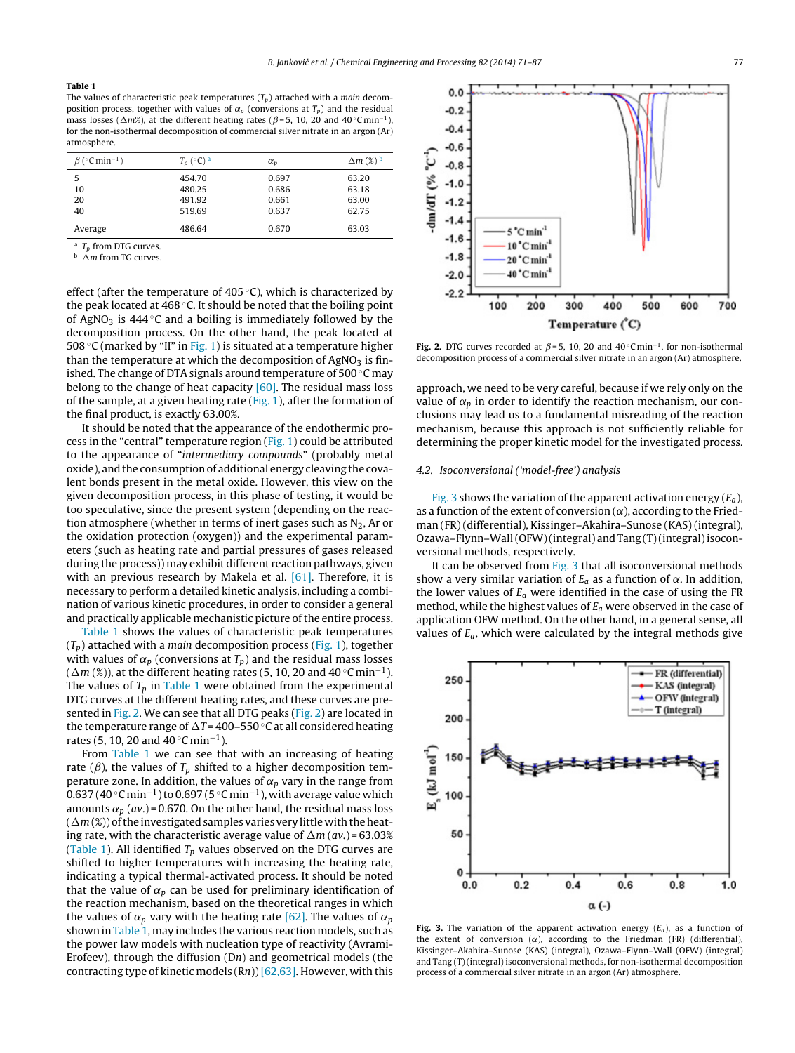#### <span id="page-6-0"></span>Table 1

The values of characteristic peak temperatures  $(T_p)$  attached with a *main* decomposition process, together with values of  $\alpha_p$  (conversions at  $T_p$ ) and the residual mass losses ( $\Delta m$ %), at the different heating rates ( $\beta$ =5, 10, 20 and 40 °C min<sup>-1</sup>), for the non-isothermal decomposition of commercial silver nitrate in an argon (Ar) atmosphere.

| $\beta$ (°C min <sup>-1</sup> ) | $T_p$ (°C) <sup>a</sup> | $\alpha_p$ | $\Delta m$ (%) $^{\rm b}$ |
|---------------------------------|-------------------------|------------|---------------------------|
| 5                               | 454.70                  | 0.697      | 63.20                     |
| 10                              | 480.25                  | 0.686      | 63.18                     |
| 20                              | 491.92                  | 0.661      | 63.00                     |
| 40                              | 519.69                  | 0.637      | 62.75                     |
| Average                         | 486.64                  | 0.670      | 63.03                     |

<sup>a</sup>  $T_p$  from DTG curves.

 $\Delta m$  from TG curves.

effect (after the temperature of 405 $\degree$ C), which is characterized by the peak located at 468  $\degree$ C. It should be noted that the boiling point of AgNO<sub>3</sub> is 444  $\degree$ C and a boiling is immediately followed by the decomposition process. On the other hand, the peak located at 508 ◦C (marked by "II" in [Fig.](#page-5-0) 1) is situated at a temperature higher than the temperature at which the decomposition of  $AgNO<sub>3</sub>$  is finished. The change of DTA signals around temperature of 500 ◦C may belong to the change of heat capacity  $[60]$ . The residual mass loss of the sample, at a given heating rate  $(Fig. 1)$  $(Fig. 1)$ , after the formation of the final product, is exactly 63.00%.

It should be noted that the appearance of the endothermic process in the "central" temperature region ([Fig.](#page-5-0) 1) could be attributed to the appearance of "intermediary compounds" (probably metal oxide), and the consumptionof additional energy cleaving the covalent bonds present in the metal oxide. However, this view on the given decomposition process, in this phase of testing, it would be too speculative, since the present system (depending on the reaction atmosphere (whether in terms of inert gases such as  $N_2$ , Ar or the oxidation protection (oxygen)) and the experimental parameters (such as heating rate and partial pressures of gases released during the process)) may exhibit different reaction pathways, given with an previous research by Makela et al. [\[61\].](#page-16-0) Therefore, it is necessary to perform a detailed kinetic analysis, including a combination of various kinetic procedures, in order to consider a general and practically applicable mechanistic picture of the entire process.

Table 1 shows the values of characteristic peak temperatures  $(T_p)$  attached with a *main* decomposition process ([Fig.](#page-5-0) 1), together with values of  $\alpha_p$  (conversions at  $T_p$ ) and the residual mass losses ( $\Delta m$  (%)), at the different heating rates (5, 10, 20 and 40 °C min<sup>-1</sup>). The values of  $T_p$  in Table 1 were obtained from the experimental DTG curves at the different heating rates, and these curves are presented in Fig. 2. We can see that all DTG peaks (Fig. 2) are located in the temperature range of  $\Delta T = 400-550$  °C at all considered heating rates (5, 10, 20 and 40  $^{\circ}$ C min<sup>-1</sup>).

From Table 1 we can see that with an increasing of heating rate ( $\beta$ ), the values of  $T_p$  shifted to a higher decomposition temperature zone. In addition, the values of  $\alpha_p$  vary in the range from  $0.637$  (40 °C min $^{-1}$  ) to 0.697 (5 °C min $^{-1}$  ), with average value which amounts  $\alpha_p$  (av.) = 0.670. On the other hand, the residual mass loss  $(\Delta m (\%))$  of the investigated samples varies very little with the heating rate, with the characteristic average value of  $\Delta m$  (av.) = 63.03% (Table 1). All identified  $T_p$  values observed on the DTG curves are shifted to higher temperatures with increasing the heating rate, indicating a typical thermal-activated process. It should be noted that the value of  $\alpha_p$  can be used for preliminary identification of the reaction mechanism, based on the theoretical ranges in which the values of  $\alpha_p$  vary with the heating rate [\[62\].](#page-16-0) The values of  $\alpha_p$ shown in Table 1, may includes the various reaction models, such as the power law models with nucleation type of reactivity (Avrami-Erofeev), through the diffusion (Dn) and geometrical models (the contracting type of kinetic models  $(Rn)$  [\[62,63\].](#page-16-0) However, with this



**Fig. 2.** DTG curves recorded at  $\beta$ =5, 10, 20 and 40 °C min<sup>-1</sup>, for non-isothermal decomposition process of a commercial silver nitrate in an argon (Ar) atmosphere.

approach, we need to be very careful, because if we rely only on the value of  $\alpha_p$  in order to identify the reaction mechanism, our conclusions may lead us to a fundamental misreading of the reaction mechanism, because this approach is not sufficiently reliable for determining the proper kinetic model for the investigated process.

## 4.2. Isoconversional ('model-free') analysis

Fig. 3 shows the variation of the apparent activation energy  $(E_a)$ , as a function of the extent of conversion  $(\alpha)$ , according to the Friedman (FR) (differential), Kissinger–Akahira–Sunose (KAS) (integral), Ozawa–Flynn–Wall(OFW)(integral) and Tang (T)(integral)isoconversional methods, respectively.

It can be observed from Fig. 3 that all isoconversional methods show a very similar variation of  $E_a$  as a function of  $\alpha$ . In addition, the lower values of  $E_a$  were identified in the case of using the FR method, while the highest values of  $E_a$  were observed in the case of application OFW method. On the other hand, in a general sense, all values of  $E_a$ , which were calculated by the integral methods give



Fig. 3. The variation of the apparent activation energy  $(E_a)$ , as a function of the extent of conversion  $(\alpha)$ , according to the Friedman (FR) (differential), Kissinger–Akahira–Sunose (KAS) (integral), Ozawa–Flynn–Wall (OFW) (integral) and Tang (T) (integral) isoconversional methods, for non-isothermal decomposition process of a commercial silver nitrate in an argon (Ar) atmosphere.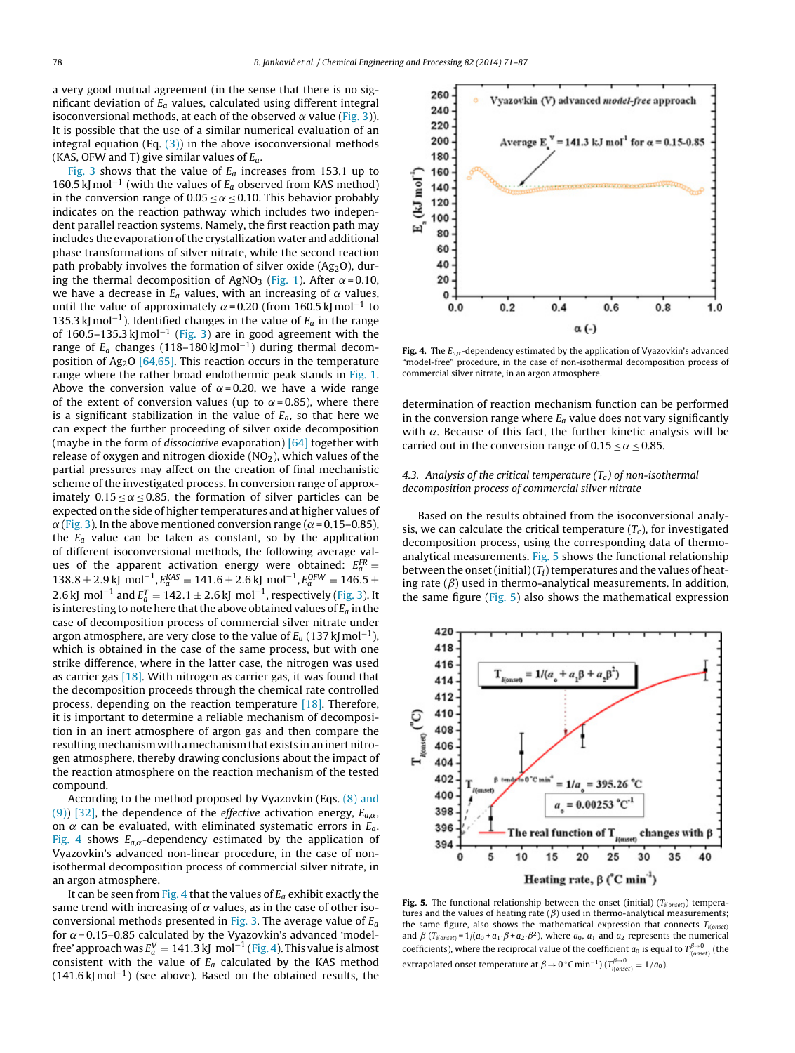<span id="page-7-0"></span>a very good mutual agreement (in the sense that there is no significant deviation of  $E_a$  values, calculated using different integral isoconversional methods, at each of the observed  $\alpha$  value [\(Fig.](#page-6-0) 3)). It is possible that the use of a similar numerical evaluation of an integral equation (Eq.  $(3)$ ) in the above isoconversional methods (KAS, OFW and T) give similar values of  $E_a$ .

[Fig.](#page-6-0) 3 shows that the value of  $E_a$  increases from 153.1 up to 160.5 kJ mol<sup>-1</sup> (with the values of  $E_a$  observed from KAS method) in the conversion range of  $0.05 \le \alpha \le 0.10$ . This behavior probably indicates on the reaction pathway which includes two independent parallel reaction systems. Namely, the first reaction path may includes the evaporation of the crystallization water and additional phase transformations of silver nitrate, while the second reaction path probably involves the formation of silver oxide  $(Ag<sub>2</sub>O)$ , dur-ing the thermal decomposition of AgNO<sub>3</sub> [\(Fig.](#page-5-0) 1). After  $\alpha$  = 0.10, we have a decrease in  $E_a$  values, with an increasing of  $\alpha$  values, until the value of approximately  $\alpha$ =0.20 (from 160.5 kJ mol $^{-1}$  to 135.3 kJ mol<sup>-1</sup>). Identified changes in the value of  $E_a$  in the range of 160.5–135.3 kJ mol<sup>-1</sup> ([Fig.](#page-6-0) 3) are in good agreement with the range of  $E_a$  changes (118–180 kJ mol<sup>–1</sup>) during thermal decom-position of Ag<sub>2</sub>O [\[64,65\].](#page-16-0) This reaction occurs in the temperature range where the rather broad endothermic peak stands in [Fig.](#page-5-0) 1. Above the conversion value of  $\alpha$ = 0.20, we have a wide range of the extent of conversion values (up to  $\alpha$ =0.85), where there is a significant stabilization in the value of  $E_a$ , so that here we can expect the further proceeding of silver oxide decomposition (maybe in the form of dissociative evaporation) [\[64\]](#page-16-0) together with release of oxygen and nitrogen dioxide  $(NO<sub>2</sub>)$ , which values of the partial pressures may affect on the creation of final mechanistic scheme of the investigated process. In conversion range of approximately  $0.15 \le \alpha \le 0.85$ , the formation of silver particles can be expected on the side of higher temperatures and at higher values of  $\alpha$  [\(Fig.](#page-6-0) 3). In the above mentioned conversion range ( $\alpha$  = 0.15–0.85), the  $E_a$  value can be taken as constant, so by the application of different isoconversional methods, the following average values of the apparent activation energy were obtained:  $E_a^{FR} =$  $138.8 \pm 2.9$  kJ mol<sup>-1</sup>,  $E_a^{KAS} = 141.6 \pm 2.6$  kJ mol<sup>-1</sup>,  $E_a^{OFW} = 146.5 \pm 1.6$ 2.6 kJ  $\, \text{mol}^{-1}$  and  $E_a^T = 142.1 \pm 2.6$  kJ  $\, \text{mol}^{-1}$ , respectively [\(Fig.](#page-6-0) 3). It is interesting to note here that the above obtained values of  $E_a$  in the case of decomposition process of commercial silver nitrate under argon atmosphere, are very close to the value of  $E_a$  (137 kJ mol $^{-1}$  ), which is obtained in the case of the same process, but with one strike difference, where in the latter case, the nitrogen was used as carrier gas  $[18]$ . With nitrogen as carrier gas, it was found that the decomposition proceeds through the chemical rate controlled process, depending on the reaction temperature [\[18\].](#page-15-0) Therefore, it is important to determine a reliable mechanism of decomposition in an inert atmosphere of argon gas and then compare the resulting mechanism with a mechanism that exists in an inert nitrogen atmosphere, thereby drawing conclusions about the impact of the reaction atmosphere on the reaction mechanism of the tested compound.

According to the method proposed by Vyazovkin (Eqs. [\(8\)](#page-2-0) [and](#page-2-0) [\(9\)\)](#page-2-0) [\[32\],](#page-16-0) the dependence of the *effective* activation energy,  $E_{a,\alpha}$ , on  $\alpha$  can be evaluated, with eliminated systematic errors in  $E_a$ . Fig. 4 shows  $E_{a,\alpha}$ -dependency estimated by the application of Vyazovkin's advanced non-linear procedure, in the case of nonisothermal decomposition process of commercial silver nitrate, in an argon atmosphere.

It can be seen from Fig. 4 that the values of  $E_a$  exhibit exactly the same trend with increasing of  $\alpha$  values, as in the case of other iso-conversional methods presented in [Fig.](#page-6-0) 3. The average value of  $E_a$ for  $\alpha$  = 0.15–0.85 calculated by the Vyazovkin's advanced 'modelfree' approach was  $E^V_a = 141.3$  kJ  $\, \mathrm{mol}^{-1}$  (Fig. 4). This value is almost consistent with the value of  $E_a$  calculated by the KAS method  $(141.6 \text{ kJ} \text{ mol}^{-1})$  (see above). Based on the obtained results, the



Fig. 4. The  $E_{a,\alpha}$ -dependency estimated by the application of Vyazovkin's advanced "model-free" procedure, in the case of non-isothermal decomposition process of commercial silver nitrate, in an argon atmosphere.

determination of reaction mechanism function can be performed in the conversion range where  $E_a$  value does not vary significantly with  $\alpha$ . Because of this fact, the further kinetic analysis will be carried out in the conversion range of  $0.15 \le \alpha \le 0.85$ .

# 4.3. Analysis of the critical temperature  $(T_c)$  of non-isothermal decomposition process of commercial silver nitrate

Based on the results obtained from the isoconversional analysis, we can calculate the critical temperature  $(T_c)$ , for investigated decomposition process, using the corresponding data of thermoanalytical measurements. Fig. 5 shows the functional relationship between the onset (initial) ( $T_{\mathrm{i}}$ ) temperatures and the values of heating rate  $(\beta)$  used in thermo-analytical measurements. In addition, the same figure (Fig. 5) also shows the mathematical expression



Fig. 5. The functional relationship between the onset (initial)  $(T_{i(onset)})$  temperatures and the values of heating rate  $(\beta)$  used in thermo-analytical measurements; the same figure, also shows the mathematical expression that connects  $T_{i(onset)}$ and  $\beta$  ( $T_{i(onset)} = 1/(a_0 + a_1 \cdot \beta + a_2 \cdot \beta^2)$ , where  $a_0$ ,  $a_1$  and  $a_2$  represents the numerical coefficients), where the reciprocal value of the coefficient  $a_0$  is equal to  $T_{i(onset)}^{\beta\to 0}$  (the extrapolated onset temperature at  $\beta \rightarrow 0$  °C min<sup>-1</sup>) ( $T^{\beta \rightarrow 0}_{i(onset)} = 1/a_0$ ).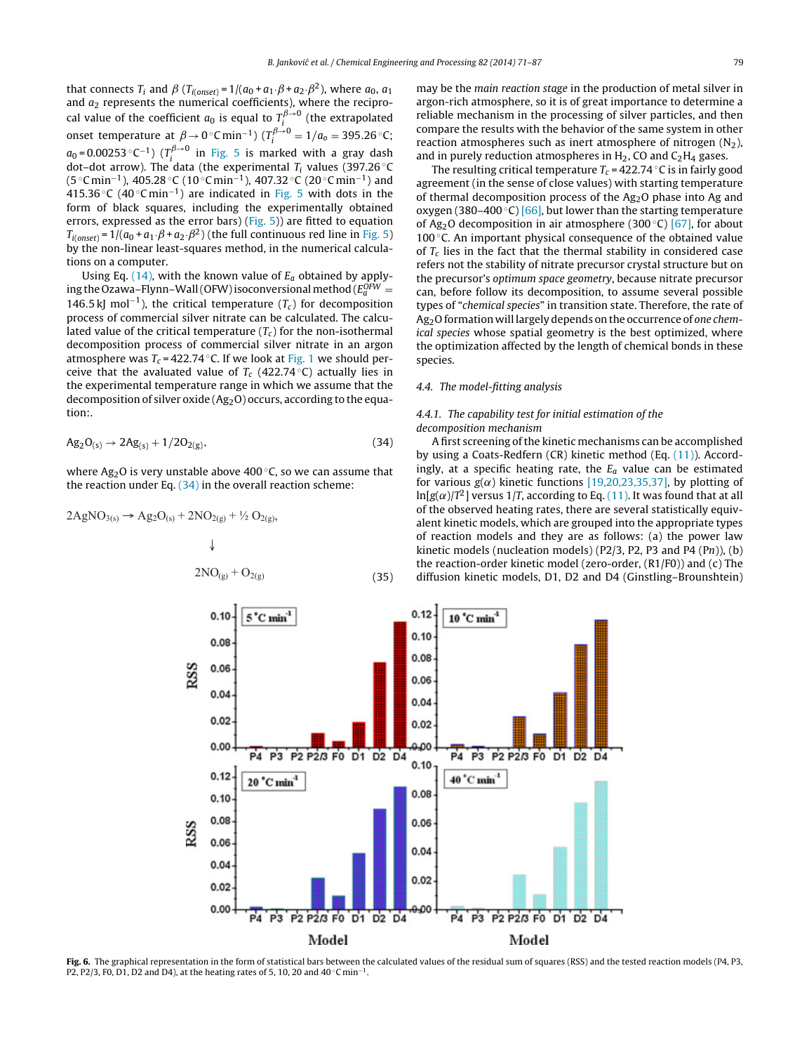<span id="page-8-0"></span>that connects  $T_i$  and  $\beta$  ( $T_{i(onset)} = 1/(a_0 + a_1 \cdot \beta + a_2 \cdot \beta^2)$ , where  $a_0$ ,  $a_1$ and  $a_2$  represents the numerical coefficients), where the reciprocal value of the coefficient  $a_0$  is equal to  $T_i^{\beta \rightarrow 0}$  (the extrapolated onset temperature at  $\beta \rightarrow 0^{\circ} \text{C min}^{-1}$ ) ( $T_i^{\beta \rightarrow 0} = 1/a_0 = 395.26 \text{°C}$ ;  $a_0$ =0.00253 °C<sup>-1</sup>) ( $T_i^{\beta\rightarrow 0}$  in [Fig.](#page-7-0) 5 is marked with a gray dash dot–dot arrow). The data (the experimental  $T_i$  values (397.26 °C) (5 °C min<sup>−1</sup>), 405.28 °C (10 °C min<sup>−1</sup>), 407.32 °C (20 °C min<sup>−1</sup>) and 415.36 °C (40 °C min<sup>-1</sup>) are indicated in [Fig.](#page-7-0) 5 with dots in the form of black squares, including the experimentally obtained errors, expressed as the error bars) [\(Fig.](#page-7-0) 5)) are fitted to equation  $T_{i(onset)} = 1/(a_0 + a_1 \cdot \beta + a_2 \cdot \beta^2)$  (the full continuous red line in [Fig.](#page-7-0) 5) by the non-linear least-squares method, in the numerical calculations on a computer.

Using Eq. [\(14\),](#page-3-0) with the known value of  $E_a$  obtained by applying the Ozawa-Flynn-Wall (OFW) isoconversional method ( $E_a^{OFW} =$ 146.5 kJ mol<sup>-1</sup>), the critical temperature ( $T_c$ ) for decomposition process of commercial silver nitrate can be calculated. The calculated value of the critical temperature  $(T_c)$  for the non-isothermal decomposition process of commercial silver nitrate in an argon atmosphere was  $T_c = 422.74$  °C. If we look at [Fig.](#page-5-0) 1 we should perceive that the avaluated value of  $T_c$  (422.74 °C) actually lies in the experimental temperature range in which we assume that the decomposition of silver oxide  $(Ag_2O)$  occurs, according to the equation:.

$$
Ag_2O_{(s)} \to 2Ag_{(s)} + 1/2O_{2(g)}, \hspace{3cm} (34)
$$

where Ag<sub>2</sub>O is very unstable above 400 °C, so we can assume that the reaction under Eq.  $(34)$  in the overall reaction scheme:

$$
2AgNO_{3(s)} \to Ag_2O_{(s)} + 2NO_{2(g)} + \frac{1}{2}O_{2(g)},
$$
\n
$$
\downarrow
$$
\n
$$
2NO_{(g)} + O_{2(g)}
$$
\n(35)

may be the main reaction stage in the production of metal silver in argon-rich atmosphere, so it is of great importance to determine a reliable mechanism in the processing of silver particles, and then compare the results with the behavior of the same system in other reaction atmospheres such as inert atmosphere of nitrogen  $(N_2)$ , and in purely reduction atmospheres in  $H_2$ , CO and  $C_2H_4$  gases.

The resulting critical temperature  $T_c = 422.74 \degree C$  is in fairly good agreement (in the sense of close values) with starting temperature of thermal decomposition process of the  $Ag<sub>2</sub>O$  phase into Ag and oxygen (380–400 $°C$ ) [\[66\],](#page-16-0) but lower than the starting temperature of Ag<sub>2</sub>O decomposition in air atmosphere (300 °C) [\[67\],](#page-16-0) for about 100 ◦C. An important physical consequence of the obtained value of  $T_c$  lies in the fact that the thermal stability in considered case refers not the stability of nitrate precursor crystal structure but on the precursor's optimum space geometry, because nitrate precursor can, before follow its decomposition, to assume several possible types of "chemical species" in transition state. Therefore, the rate of Ag<sub>2</sub>O formation will largely depends on the occurrence of one chemical species whose spatial geometry is the best optimized, where the optimization affected by the length of chemical bonds in these species.

## 4.4. The model-fitting analysis

# 4.4.1. The capability test for initial estimation of the decomposition mechanism

A first screening ofthe kinetic mechanisms can be accomplished by using a Coats-Redfern (CR) kinetic method (Eq. [\(11\)\).](#page-3-0) Accordingly, at a specific heating rate, the  $E_a$  value can be estimated for various  $g(\alpha)$  kinetic functions [\[19,20,23,35,37\],](#page-15-0) by plotting of  $\ln[g(\alpha)/T^2]$  versus 1/T, according to Eq. [\(11\).](#page-3-0) It was found that at all of the observed heating rates, there are several statistically equivalent kinetic models, which are grouped into the appropriate types of reaction models and they are as follows: (a) the power law kinetic models (nucleation models) (P2/3, P2, P3 and P4  $(Ph)$ ),  $(b)$ the reaction-order kinetic model (zero-order, (R1/F0)) and (c) The diffusion kinetic models, D1, D2 and D4 (Ginstling–Brounshtein)



Fig. 6. The graphical representation in the form of statistical bars between the calculated values of the residual sum of squares (RSS) and the tested reaction models (P4, P3, P2, P2/3, F0, D1, D2 and D4), at the heating rates of 5, 10, 20 and  $40^{\circ}$ C min<sup>-1</sup>.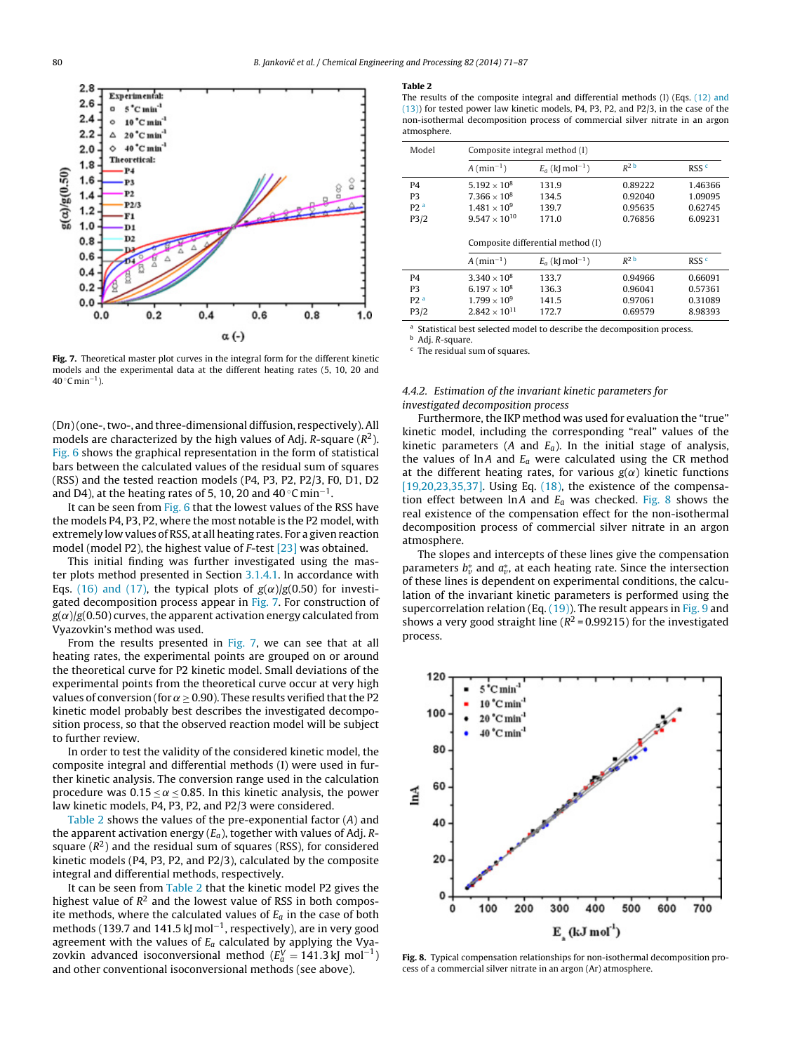<span id="page-9-0"></span>

Fig. 7. Theoretical master plot curves in the integral form for the different kinetic models and the experimental data at the different heating rates (5, 10, 20 and 40 °C min<sup>−1</sup> ).

(Dn)(one-,two-, and three-dimensional diffusion, respectively).All models are characterized by the high values of Adj. R-square ( $R^2$ ). [Fig.](#page-8-0) 6 shows the graphical representation in the form of statistical bars between the calculated values of the residual sum of squares (RSS) and the tested reaction models (P4, P3, P2, P2/3, F0, D1, D2 and D4), at the heating rates of 5, 10, 20 and 40 °C min $^{-1}.$ 

It can be seen from [Fig.](#page-8-0) 6 that the lowest values of the RSS have the models P4, P3, P2, where the most notable is the P2 model, with extremely low values of RSS, at all heating rates. For a given reaction model (model P2), the highest value of F-test [\[23\]](#page-15-0) was obtained.

This initial finding was further investigated using the master plots method presented in Section [3.1.4.1.](#page-3-0) In accordance with Eqs. [\(16\)](#page-3-0) [and](#page-3-0) [\(17\),](#page-3-0) the typical plots of  $g(\alpha)/g(0.50)$  for investigated decomposition process appear in Fig. 7. For construction of  $g(\alpha)/g(0.50)$  curves, the apparent activation energy calculated from Vyazovkin's method was used.

From the results presented in Fig. 7, we can see that at all heating rates, the experimental points are grouped on or around the theoretical curve for P2 kinetic model. Small deviations of the experimental points from the theoretical curve occur at very high values of conversion (for  $\alpha \geq 0.90$ ). These results verified that the P2 kinetic model probably best describes the investigated decomposition process, so that the observed reaction model will be subject to further review.

In order to test the validity of the considered kinetic model, the composite integral and differential methods (I) were used in further kinetic analysis. The conversion range used in the calculation procedure was  $0.15 \le \alpha \le 0.85$ . In this kinetic analysis, the power law kinetic models, P4, P3, P2, and P2/3 were considered.

Table 2 shows the values of the pre-exponential factor (A) and the apparent activation energy  $(E_a)$ , together with values of Adj. Rsquare  $(R^2)$  and the residual sum of squares (RSS), for considered kinetic models (P4, P3, P2, and P2/3), calculated by the composite integral and differential methods, respectively.

It can be seen from Table 2 that the kinetic model P2 gives the highest value of  $R^2$  and the lowest value of RSS in both composite methods, where the calculated values of  $E_a$  in the case of both methods (139.7 and 141.5 kJ mol $^{-1}$ , respectively), are in very good agreement with the values of  $E_a$  calculated by applying the Vyazovkin advanced isoconversional method ( $E_d^V = 141.3$ kJ mol $^{-1}$ ) and other conventional isoconversional methods (see above).

#### Table 2

The results of the composite integral and differential methods (I) (Eqs. [\(12\)](#page-3-0) [and](#page-3-0) [\(13\)\)](#page-3-0) for tested power law kinetic models, P4, P3, P2, and P2/3, in the case of the non-isothermal decomposition process of commercial silver nitrate in an argon atmosphere.

| Model           | Composite integral method (I)     |                              |                    |                  |  |
|-----------------|-----------------------------------|------------------------------|--------------------|------------------|--|
|                 | $A$ (min <sup>-1</sup> )          | $E_a$ (k[mol <sup>-1</sup> ) | $R^2$              | RSS <sup>c</sup> |  |
| P <sub>4</sub>  | $5.192 \times 10^8$               | 131.9                        | 0.89222            | 1.46366          |  |
| P <sub>3</sub>  | $7.366 \times 10^8$               | 134.5                        | 0.92040            | 1.09095          |  |
| P2 <sup>a</sup> | $1.481 \times 10^{9}$             | 139.7                        | 0.95635            | 0.62745          |  |
| P3/2            | $9.547 \times 10^{10}$            | 171.0                        | 0.76856            | 6.09231          |  |
|                 | Composite differential method (I) |                              |                    |                  |  |
|                 | $A$ (min <sup>-1</sup> )          | $E_a$ (k[mol <sup>-1</sup> ) | $R^2$ <sub>b</sub> | RSS <sup>c</sup> |  |
| P <sub>4</sub>  | $3.340 \times 10^{8}$             | 133.7                        | 0.94966            | 0.66091          |  |
| P <sub>3</sub>  | 6.197 $\times$ 10 <sup>8</sup>    | 136.3                        | 0.96041            | 0.57361          |  |
| P2 <sup>a</sup> | $1.799 \times 10^{9}$             | 141.5                        | 0.97061            | 0.31089          |  |
| P3/2            | $2.842 \times 10^{11}$            | 172.7                        | 0.69579            | 8.98393          |  |

a Statistical best selected model to describe the decomposition process.

<sup>b</sup> Adj. R-square.

<sup>c</sup> The residual sum of squares.

## 4.4.2. Estimation of the invariant kinetic parameters for investigated decomposition process

Furthermore, the IKP method was used for evaluation the "true" kinetic model, including the corresponding "real" values of the kinetic parameters (A and  $E_a$ ). In the initial stage of analysis, the values of lnA and  $E_a$  were calculated using the CR method at the different heating rates, for various  $g(\alpha)$  kinetic functions  $[19,20,23,35,37]$ . Using Eq.  $(18)$ , the existence of the compensation effect between  $\ln A$  and  $E_a$  was checked. Fig. 8 shows the real existence of the compensation effect for the non-isothermal decomposition process of commercial silver nitrate in an argon atmosphere.

The slopes and intercepts of these lines give the compensation parameters  $b_v^*$  and  $a_v^*$ , at each heating rate. Since the intersection of these lines is dependent on experimental conditions, the calculation of the invariant kinetic parameters is performed using the supercorrelation relation (Eq.  $(19)$ ). The result appears in [Fig.](#page-10-0) 9 and shows a very good straight line ( $R^2$  = 0.99215) for the investigated process.



Fig. 8. Typical compensation relationships for non-isothermal decomposition process of a commercial silver nitrate in an argon (Ar) atmosphere.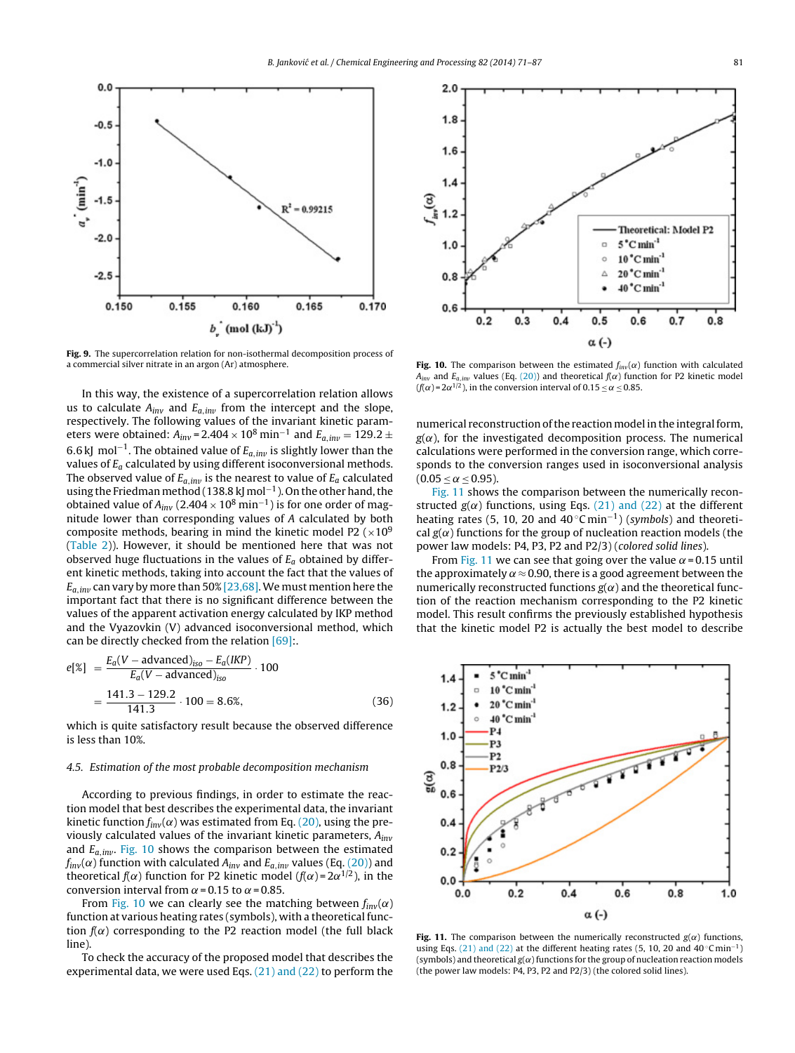<span id="page-10-0"></span>

Fig. 9. The supercorrelation relation for non-isothermal decomposition process of a commercial silver nitrate in an argon (Ar) atmosphere.

In this way, the existence of a supercorrelation relation allows us to calculate  $A_{inv}$  and  $E_{a,inv}$  from the intercept and the slope, respectively. The following values of the invariant kinetic parameters were obtained:  $A_{inv} = 2.404 \times 10^8 \text{ min}^{-1}$  and  $E_{a,inv} = 129.2 \pm 10^8 \text{ min}^{-1}$ 6.6 kJ mol−<sup>1</sup> . The obtained value of Ea,in*v* is slightly lower than the values of  $E_a$  calculated by using different isoconversional methods. The observed value of  $E_{a,\textit{inv}}$  is the nearest to value of  $E_a$  calculated using the Friedman method (138.8 kJ mol<sup>-1</sup>). On the other hand, the obtained value of  $A_{inv}$  (2.404  $\times$  10 $^{8}$  min $^{-1}$ ) is for one order of magnitude lower than corresponding values of A calculated by both composite methods, bearing in mind the kinetic model P2 ( $\times$ 10<sup>9</sup>) ([Table](#page-9-0) 2)). However, it should be mentioned here that was not observed huge fluctuations in the values of  $E_a$  obtained by different kinetic methods, taking into account the fact that the values of  $E_{a,inv}$  can vary by more than 50%  $[23,68]$ . We must mention here the important fact that there is no significant difference between the values of the apparent activation energy calculated by IKP method and the Vyazovkin (V) advanced isoconversional method, which can be directly checked from the relation [\[69\]:.](#page-16-0)

$$
e[\mathscr{E}] = \frac{E_a(V - \text{advanced})_{iso} - E_a(IKP)}{E_a(V - \text{advanced})_{iso}} \cdot 100
$$

$$
= \frac{141.3 - 129.2}{141.3} \cdot 100 = 8.6\%, \tag{36}
$$

which is quite satisfactory result because the observed difference is less than 10%.

#### 4.5. Estimation of the most probable decomposition mechanism

According to previous findings, in order to estimate the reaction model that best describes the experimental data, the invariant kinetic function  $f_{inv}(\alpha)$  was estimated from Eq. [\(20\),](#page-4-0) using the previously calculated values of the invariant kinetic parameters,  $A_{inv}$ and Ea,in*v* . Fig. 10 shows the comparison between the estimated  $f_{inv}(\alpha)$  function with calculated  $A_{inv}$  and  $E_{a,inv}$  values (Eq. [\(20\)\)](#page-4-0) and theoretical  $f(\alpha)$  function for P2 kinetic model ( $f(\alpha)$ =2 $\alpha^{1/2}$ ), in the conversion interval from  $\alpha$  = 0.15 to  $\alpha$  = 0.85.

From Fig. 10 we can clearly see the matching between  $f_{inv}(\alpha)$ function at various heating rates (symbols), with a theoretical function  $f(\alpha)$  corresponding to the P2 reaction model (the full black line).

To check the accuracy of the proposed model that describes the experimental data, we were used Eqs. [\(21\)](#page-4-0) [and](#page-4-0) [\(22\)](#page-4-0) to perform the



Fig. 10. The comparison between the estimated  $f_{inv}(\alpha)$  function with calculated  $A_{inv}$  and  $E_{a,inv}$  values (Eq. [\(20\)\)](#page-4-0) and theoretical  $f(\alpha)$  function for P2 kinetic model  $(f(\alpha) = 2\alpha^{1/2})$ , in the conversion interval of 0.15  $\leq \alpha \leq 0.85$ .

numerical reconstruction of the reaction model in the integral form,  $g(\alpha)$ , for the investigated decomposition process. The numerical calculations were performed in the conversion range, which corresponds to the conversion ranges used in isoconversional analysis  $(0.05 < \alpha < 0.95)$ .

Fig. 11 shows the comparison between the numerically reconstructed  $g(\alpha)$  functions, using Eqs. [\(21\)](#page-4-0) [and](#page-4-0) [\(22\)](#page-4-0) at the different heating rates (5, 10, 20 and  $40^{\circ}$ C min<sup>-1</sup>) (symbols) and theoretical  $g(\alpha)$  functions for the group of nucleation reaction models (the power law models: P4, P3, P2 and P2/3) (colored solid lines).

From Fig. 11 we can see that going over the value  $\alpha$  = 0.15 until the approximately  $\alpha \approx 0.90$ , there is a good agreement between the numerically reconstructed functions  $g(\alpha)$  and the theoretical function of the reaction mechanism corresponding to the P2 kinetic model. This result confirms the previously established hypothesis that the kinetic model P2 is actually the best model to describe



Fig. 11. The comparison between the numerically reconstructed  $g(\alpha)$  functions, using Eqs. [\(21\)](#page-4-0) [and](#page-4-0) [\(22\)](#page-4-0) at the different heating rates (5, 10, 20 and  $40^{\circ}$ C min<sup>-1</sup>) (symbols) and theoretical  $g(\alpha)$  functions for the group of nucleation reaction models (the power law models: P4, P3, P2 and P2/3) (the colored solid lines).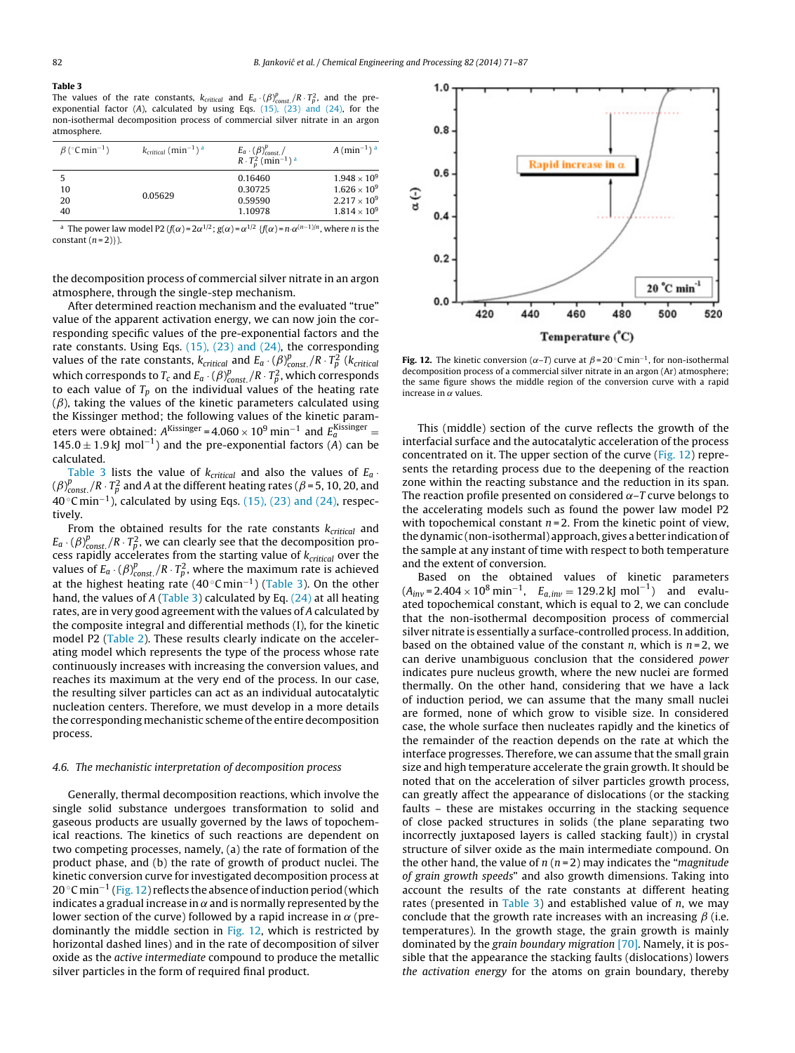## Table 3

The values of the rate constants,  $k_{critical}$  and  $E_a \cdot (\beta)_{const.}^p / R \cdot T_p^2$ , and the preexponential factor (A), calculated by using Eqs.  $(15)$ ,  $(23)$  [and](#page-3-0)  $(24)$ , for the non-isothermal decomposition process of commercial silver nitrate in an argon atmosphere.

| $\beta$ (°C min <sup>-1</sup> ) | $k_{critical}$ (min <sup>-1</sup> ) <sup>a</sup> | $E_a \cdot (\beta)_{const.}^p$<br>$R \cdot T_n^2$ (min <sup>-1</sup> ) <sup>a</sup> | $A \text{ (min-1)}$ <sup>a</sup> |
|---------------------------------|--------------------------------------------------|-------------------------------------------------------------------------------------|----------------------------------|
| 5                               |                                                  | 0.16460                                                                             | $1.948 \times 10^{9}$            |
| 10                              |                                                  | 0.30725                                                                             | $1.626 \times 10^{9}$            |
| 20                              | 0.05629                                          | 0.59590                                                                             | $2.217 \times 10^{9}$            |
| 40                              |                                                  | 1.10978                                                                             | $1.814 \times 10^{9}$            |

 $^a$  The power law model P2 (f( $\alpha$ ) = 2 $\alpha^{1/2}$  ; g( $\alpha$ ) =  $\alpha^{1/2}$  {f( $\alpha$ ) =  $n \cdot \alpha^{(n-1)/n}$ , where n is the constant  $(n=2)$ .

the decomposition process of commercial silver nitrate in an argon atmosphere, through the single-step mechanism.

After determined reaction mechanism and the evaluated "true" value of the apparent activation energy, we can now join the corresponding specific values of the pre-exponential factors and the rate constants. Using Eqs. [\(15\),](#page-3-0) [\(23\)](#page-3-0) [and](#page-3-0) [\(24\),](#page-3-0) the corresponding values of the rate constants,  $k_{critical}$  and  $E_a \cdot (\beta)_{const.}^p / R \cdot T_p^2$  ( $k_{critical}$ which corresponds to  $T_c$  and  $E_a\cdot (\beta)_{const.}^p / R \cdot T_p^2$ , which corresponds to each value of  $T_p$  on the individual values of the heating rate  $(\beta)$ , taking the values of the kinetic parameters calculated using the Kissinger method; the following values of the kinetic parameters were obtained:  $A^{Kissinger} = 4.060 \times 10^9 \text{ min}^{-1}$  and  $E_a^{Kissinger} =$ 145.0  $\pm$  1.9 kJ mol<sup>-1</sup>) and the pre-exponential factors (A) can be calculated.

Table 3 lists the value of  $k_{critical}$  and also the values of  $E_a$ .  $(\beta)_{const.}^{p}/R \cdot T_{p}^{2}$  and A at the different heating rates ( $\beta$  = 5, 10, 20, and 40 ◦C min−<sup>1</sup> ), calculated by using Eqs. [\(15\),](#page-3-0) [\(23\)](#page-3-0) [and](#page-3-0) [\(24\),](#page-3-0) respectively.

From the obtained results for the rate constants  $k_{critical}$  and  $E_a\cdot (\beta)_{const.}^p/R \cdot T_p^2$ , we can clearly see that the decomposition process rapidly accelerates from the starting value of  $k_{critical}$  over the values of  $E_a \cdot (\beta)_{const.}^p / R \cdot T_p^2$ , where the maximum rate is achieved at the highest heating rate  $(40 °Cmin^{-1})$  (Table 3). On the other hand, the values of A (Table 3) calculated by Eq.  $(24)$  at all heating rates, are in very good agreement with the values of A calculated by the composite integral and differential methods (I), for the kinetic model P2 [\(Table](#page-9-0) 2). These results clearly indicate on the accelerating model which represents the type of the process whose rate continuously increases with increasing the conversion values, and reaches its maximum at the very end of the process. In our case, the resulting silver particles can act as an individual autocatalytic nucleation centers. Therefore, we must develop in a more details the corresponding mechanistic scheme of the entire decomposition process.

#### 4.6. The mechanistic interpretation of decomposition process

Generally, thermal decomposition reactions, which involve the single solid substance undergoes transformation to solid and gaseous products are usually governed by the laws of topochemical reactions. The kinetics of such reactions are dependent on two competing processes, namely, (a) the rate of formation of the product phase, and (b) the rate of growth of product nuclei. The kinetic conversion curve for investigated decomposition process at 20 °C min<sup>−1</sup> (Fig. 12) reflects the absence of induction period (which indicates a gradual increase in  $\alpha$  and is normally represented by the lower section of the curve) followed by a rapid increase in  $\alpha$  (predominantly the middle section in Fig. 12, which is restricted by horizontal dashed lines) and in the rate of decomposition of silver oxide as the active intermediate compound to produce the metallic silver particles in the form of required final product.



**Fig. 12.** The kinetic conversion ( $\alpha$ –T) curve at  $\beta$ =20 °C min<sup>-1</sup>, for non-isothermal decomposition process of a commercial silver nitrate in an argon (Ar) atmosphere; the same figure shows the middle region of the conversion curve with a rapid increase in  $\alpha$  values.

This (middle) section of the curve reflects the growth of the interfacial surface and the autocatalytic acceleration of the process concentrated on it. The upper section of the curve (Fig. 12) represents the retarding process due to the deepening of the reaction zone within the reacting substance and the reduction in its span. The reaction profile presented on considered  $\alpha$ –T curve belongs to the accelerating models such as found the power law model P2 with topochemical constant  $n = 2$ . From the kinetic point of view, the dynamic (non-isothermal) approach, gives a better indication of the sample at any instant of time with respect to both temperature and the extent of conversion.

Based on the obtained values of kinetic parameters  $(A_{inv} = 2.404 \times 10^8 \text{ min}^{-1}, \quad E_{a, inv} = 129.2 \text{ kJ mol}^{-1})$  and evaluated topochemical constant, which is equal to 2, we can conclude that the non-isothermal decomposition process of commercial silver nitrate is essentially a surface-controlled process. In addition, based on the obtained value of the constant n, which is  $n = 2$ , we can derive unambiguous conclusion that the considered power indicates pure nucleus growth, where the new nuclei are formed thermally. On the other hand, considering that we have a lack of induction period, we can assume that the many small nuclei are formed, none of which grow to visible size. In considered case, the whole surface then nucleates rapidly and the kinetics of the remainder of the reaction depends on the rate at which the interface progresses. Therefore, we can assume that the small grain size and high temperature accelerate the grain growth. It should be noted that on the acceleration of silver particles growth process, can greatly affect the appearance of dislocations (or the stacking faults – these are mistakes occurring in the stacking sequence of close packed structures in solids (the plane separating two incorrectly juxtaposed layers is called stacking fault)) in crystal structure of silver oxide as the main intermediate compound. On the other hand, the value of  $n(n=2)$  may indicates the "*magnitude* of grain growth speeds" and also growth dimensions. Taking into account the results of the rate constants at different heating rates (presented in Table 3) and established value of  $n$ , we may conclude that the growth rate increases with an increasing  $\beta$  (i.e. temperatures). In the growth stage, the grain growth is mainly dominated by the grain boundary migration [\[70\].](#page-16-0) Namely, it is possible that the appearance the stacking faults (dislocations) lowers the activation energy for the atoms on grain boundary, thereby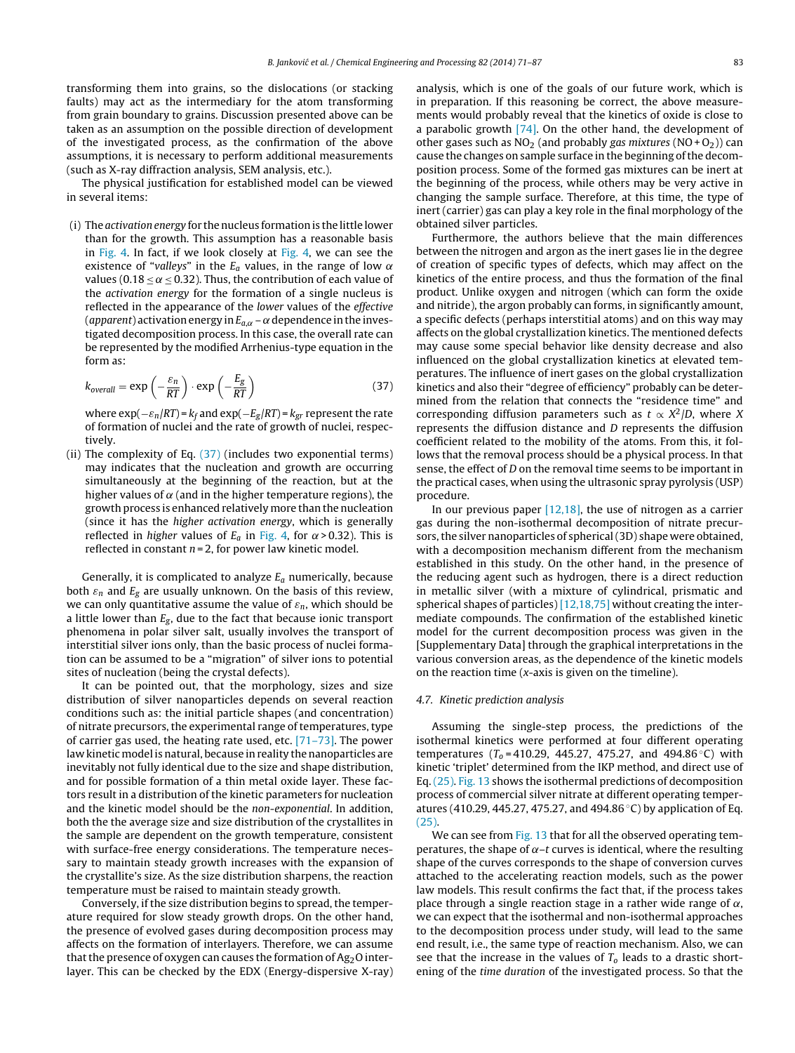<span id="page-12-0"></span>transforming them into grains, so the dislocations (or stacking faults) may act as the intermediary for the atom transforming from grain boundary to grains. Discussion presented above can be taken as an assumption on the possible direction of development of the investigated process, as the confirmation of the above assumptions, it is necessary to perform additional measurements (such as X-ray diffraction analysis, SEM analysis, etc.).

The physical justification for established model can be viewed in several items:

(i) The activation energy for the nucleus formation is the little lower than for the growth. This assumption has a reasonable basis in [Fig.](#page-7-0) 4. In fact, if we look closely at [Fig.](#page-7-0) 4, we can see the existence of "valleys" in the  $E_a$  values, in the range of low  $\alpha$ values (0.18  $\leq \alpha \leq$  0.32). Thus, the contribution of each value of the activation energy for the formation of a single nucleus is reflected in the appearance of the lower values of the effective (apparent) activation energy in  $E_{a,\alpha}$  –  $\alpha$  dependence in the investigated decomposition process. In this case, the overall rate can be represented by the modified Arrhenius-type equation in the form as:

$$
k_{\text{overall}} = \exp\left(-\frac{\varepsilon_n}{RT}\right) \cdot \exp\left(-\frac{E_g}{RT}\right) \tag{37}
$$

where  $\exp(-\varepsilon_n/RT)$  =  $k_f$  and  $\exp(-E_g/RT)$  =  $k_{gr}$  represent the rate of formation of nuclei and the rate of growth of nuclei, respectively.

(ii) The complexity of Eq. (37) (includes two exponential terms) may indicates that the nucleation and growth are occurring simultaneously at the beginning of the reaction, but at the higher values of  $\alpha$  (and in the higher temperature regions), the growth process is enhanced relatively more than the nucleation (since it has the higher activation energy, which is generally reflected in higher values of  $E_a$  in [Fig.](#page-7-0) 4, for  $\alpha$  > 0.32). This is reflected in constant  $n = 2$ , for power law kinetic model.

Generally, it is complicated to analyze  $E_a$  numerically, because both  $\varepsilon_n$  and  $E_g$  are usually unknown. On the basis of this review, we can only quantitative assume the value of  $\varepsilon_n$ , which should be a little lower than  $E_g$ , due to the fact that because ionic transport phenomena in polar silver salt, usually involves the transport of interstitial silver ions only, than the basic process of nuclei formation can be assumed to be a "migration" of silver ions to potential sites of nucleation (being the crystal defects).

It can be pointed out, that the morphology, sizes and size distribution of silver nanoparticles depends on several reaction conditions such as: the initial particle shapes (and concentration) of nitrate precursors, the experimental range of temperatures, type of carrier gas used, the heating rate used, etc. [\[71–73\].](#page-16-0) The power law kinetic model is natural, because in reality the nanoparticles are inevitably not fully identical due to the size and shape distribution, and for possible formation of a thin metal oxide layer. These factors result in a distribution of the kinetic parameters for nucleation and the kinetic model should be the non-exponential. In addition, both the the average size and size distribution of the crystallites in the sample are dependent on the growth temperature, consistent with surface-free energy considerations. The temperature necessary to maintain steady growth increases with the expansion of the crystallite's size. As the size distribution sharpens, the reaction temperature must be raised to maintain steady growth.

Conversely, if the size distribution begins to spread, the temperature required for slow steady growth drops. On the other hand, the presence of evolved gases during decomposition process may affects on the formation of interlayers. Therefore, we can assume that the presence of oxygen can causes the formation of  $Ag<sub>2</sub>O$  interlayer. This can be checked by the EDX (Energy-dispersive X-ray)

analysis, which is one of the goals of our future work, which is in preparation. If this reasoning be correct, the above measurements would probably reveal that the kinetics of oxide is close to a parabolic growth  $[74]$ . On the other hand, the development of other gases such as  $NO<sub>2</sub>$  (and probably gas mixtures ( $NO + O<sub>2</sub>$ )) can cause the changes on sample surface in the beginning of the decomposition process. Some of the formed gas mixtures can be inert at the beginning of the process, while others may be very active in changing the sample surface. Therefore, at this time, the type of inert (carrier) gas can play a key role in the final morphology of the obtained silver particles.

Furthermore, the authors believe that the main differences between the nitrogen and argon as the inert gases lie in the degree of creation of specific types of defects, which may affect on the kinetics of the entire process, and thus the formation of the final product. Unlike oxygen and nitrogen (which can form the oxide and nitride), the argon probably can forms, in significantly amount, a specific defects (perhaps interstitial atoms) and on this way may affects on the global crystallization kinetics. The mentioned defects may cause some special behavior like density decrease and also influenced on the global crystallization kinetics at elevated temperatures. The influence of inert gases on the global crystallization kinetics and also their "degree of efficiency" probably can be determined from the relation that connects the "residence time" and corresponding diffusion parameters such as  $t \propto X^2/D$ , where X represents the diffusion distance and D represents the diffusion coefficient related to the mobility of the atoms. From this, it follows that the removal process should be a physical process. In that sense, the effect of D on the removal time seems to be important in the practical cases, when using the ultrasonic spray pyrolysis (USP) procedure.

In our previous paper [\[12,18\],](#page-15-0) the use of nitrogen as a carrier gas during the non-isothermal decomposition of nitrate precursors, the silver nanoparticles of spherical (3D) shape were obtained, with a decomposition mechanism different from the mechanism established in this study. On the other hand, in the presence of the reducing agent such as hydrogen, there is a direct reduction in metallic silver (with a mixture of cylindrical, prismatic and spherical shapes of particles) [\[12,18,75\]](#page-15-0) without creating the intermediate compounds. The confirmation of the established kinetic model for the current decomposition process was given in the [Supplementary Data] through the graphical interpretations in the various conversion areas, as the dependence of the kinetic models on the reaction time  $(x)$ -axis is given on the timeline).

## 4.7. Kinetic prediction analysis

Assuming the single-step process, the predictions of the isothermal kinetics were performed at four different operating temperatures ( $T_0 = 410.29$ , 445.27, 475.27, and 494.86 °C) with kinetic 'triplet' determined from the IKP method, and direct use of Eq. [\(25\).](#page-4-0) [Fig.](#page-13-0) 13 shows the isothermal predictions of decomposition process of commercial silver nitrate at different operating temperatures (410.29, 445.27, 475.27, and 494.86 ◦C) by application of Eq. [\(25\).](#page-4-0)

We can see from [Fig.](#page-13-0) 13 that for all the observed operating temperatures, the shape of  $\alpha$ –t curves is identical, where the resulting shape of the curves corresponds to the shape of conversion curves attached to the accelerating reaction models, such as the power law models. This result confirms the fact that, if the process takes place through a single reaction stage in a rather wide range of  $\alpha$ , we can expect that the isothermal and non-isothermal approaches to the decomposition process under study, will lead to the same end result, i.e., the same type of reaction mechanism. Also, we can see that the increase in the values of  $T_0$  leads to a drastic shortening of the time duration of the investigated process. So that the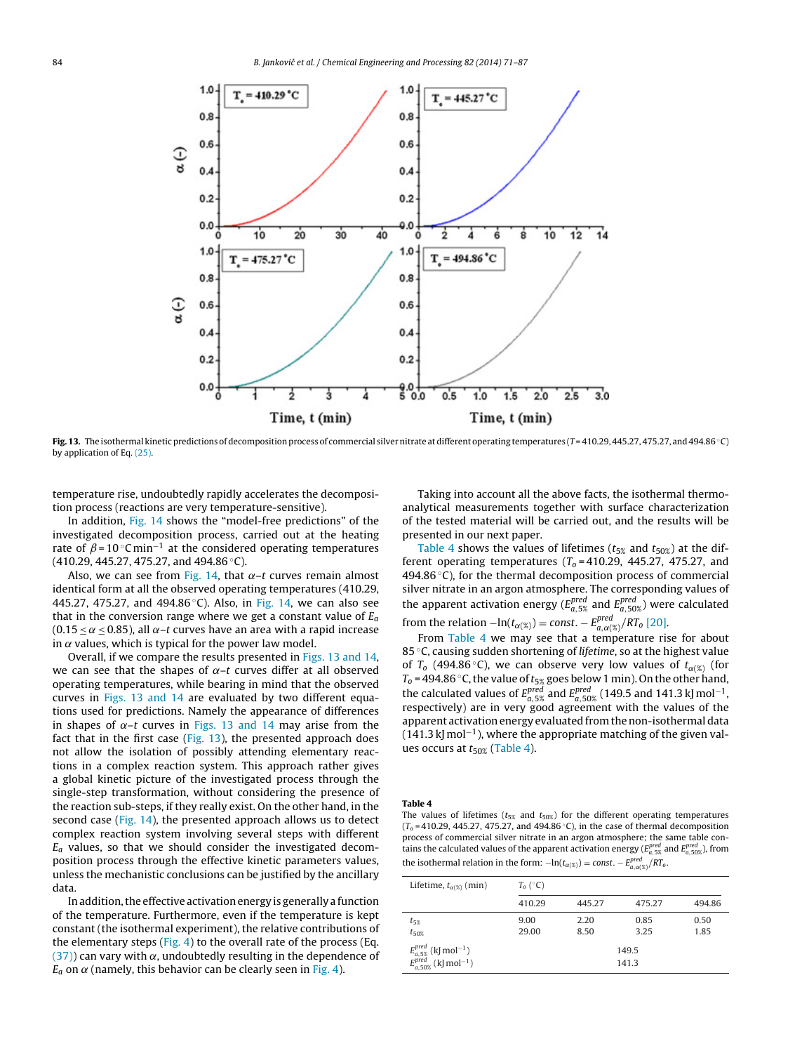<span id="page-13-0"></span>

Fig. 13. The isothermal kinetic predictions of decomposition process of commercial silver nitrate at different operating temperatures (T = 410.29, 445.27, 475.27, and 494.86 ℃) by application of Eq. [\(25\).](#page-4-0)

temperature rise, undoubtedly rapidly accelerates the decomposition process (reactions are very temperature-sensitive).

In addition, [Fig.](#page-14-0) 14 shows the "model-free predictions" of the investigated decomposition process, carried out at the heating rate of  $\beta = 10$  °C min<sup>-1</sup> at the considered operating temperatures (410.29, 445.27, 475.27, and 494.86 ◦C).

Also, we can see from [Fig.](#page-14-0) 14, that  $\alpha$ –t curves remain almost identical form at all the observed operating temperatures (410.29, 445.27, 475.27, and 494.86 °C). Also, in [Fig.](#page-14-0) 14, we can also see that in the conversion range where we get a constant value of  $E_a$ (0.15  $\leq \alpha \leq$  0.85), all  $\alpha$ –t curves have an area with a rapid increase in  $\alpha$  values, which is typical for the power law model.

Overall, if we compare the results presented in Figs. 13 and 14, we can see that the shapes of  $\alpha$ –t curves differ at all observed operating temperatures, while bearing in mind that the observed curves in Figs. 13 and 14 are evaluated by two different equations used for predictions. Namely the appearance of differences in shapes of  $\alpha$ –t curves in Figs. 13 and 14 may arise from the fact that in the first case  $(Fig. 13)$ , the presented approach does not allow the isolation of possibly attending elementary reactions in a complex reaction system. This approach rather gives a global kinetic picture of the investigated process through the single-step transformation, without considering the presence of the reaction sub-steps, if they really exist. On the other hand, in the second case (Fig. [14\),](#page-14-0) the presented approach allows us to detect complex reaction system involving several steps with different  $E_a$  values, so that we should consider the investigated decomposition process through the effective kinetic parameters values, unless the mechanistic conclusions can be justified by the ancillary data.

In addition, the effective activation energy is generally a function of the temperature. Furthermore, even if the temperature is kept constant (the isothermal experiment), the relative contributions of the elementary steps ( $Fig. 4$  $Fig. 4$ ) to the overall rate of the process (Eq.  $(37)$ ) can vary with  $\alpha$ , undoubtedly resulting in the dependence of  $E_a$  on  $\alpha$  (namely, this behavior can be clearly seen in [Fig.](#page-7-0) 4).

Taking into account all the above facts, the isothermal thermoanalytical measurements together with surface characterization of the tested material will be carried out, and the results will be presented in our next paper.

Table 4 shows the values of lifetimes ( $t_{5\%}$  and  $t_{50\%}$ ) at the different operating temperatures ( $T<sub>o</sub> = 410.29$ , 445.27, 475.27, and 494.86 $\degree$ C), for the thermal decomposition process of commercial silver nitrate in an argon atmosphere. The corresponding values of the apparent activation energy ( $E_{a,5\%}^{pred}$  and  $E_{a,50\%}^{pred}$ ) were calculated from the relation  $-\ln(t_{\alpha(\%)}) = \text{const.} - E_{a,\alpha(\%)}^{\text{pred}} / RT_0$  [\[20\].](#page-15-0)

From Table 4 we may see that a temperature rise for about 85 °C, causing sudden shortening of lifetime, so at the highest value of  $T_0$  (494.86 °C), we can observe very low values of  $t_{\alpha(\%)}$  (for  $T_0$  = 494.86 °C, the value of  $t_{5%}$  goes below 1 min). On the other hand, the calculated values of  $E_{a,5\%}^{pred}$  and  $E_{a,50\%}^{pred}$  (149.5 and 141.3 kJ mol<sup>-1</sup>, respectively) are in very good agreement with the values of the apparent activation energy evaluated from the non-isothermal data (141.3 kJ mol<sup>-1</sup>), where the appropriate matching of the given values occurs at  $t_{50\%}$  (Table 4).

## Table 4

The values of lifetimes ( $t_{5\%}$  and  $t_{50\%}$ ) for the different operating temperatures ( $T_0$  = 410.29, 445.27, 475.27, and 494.86 °C), in the case of thermal decomposition process of commercial silver nitrate in an argon atmosphere; the same table contains the calculated values of the apparent activation energy ( $E_{a,5\%}^{pred}$  and  $E_{a,50\%}^{pred}$ ), from the isothermal relation in the form:  $-\ln(t_{\alpha(\%)}) = const. - E_{a,\alpha(\%)}^{pred}/RT_o$ .

| Lifetime, $t_{\alpha(\%)}$ (min)                                                                                            | $T_0 (^\circ \text{C})$ |              |                |              |
|-----------------------------------------------------------------------------------------------------------------------------|-------------------------|--------------|----------------|--------------|
|                                                                                                                             | 410.29                  | 445.27       | 475.27         | 494.86       |
| $t_{5\%}$<br>$t_{50\%}$                                                                                                     | 9.00<br>29.00           | 2.20<br>8.50 | 0.85<br>3.25   | 0.50<br>1.85 |
| $\begin{array}{l} E_{a,5\%}^{pred} \ ( \mathrm{kJ\,mol^{-1}} ) \ E_{a,50\%}^{pred} \ ( \mathrm{kJ\,mol^{-1}} ) \end{array}$ |                         |              | 149.5<br>141.3 |              |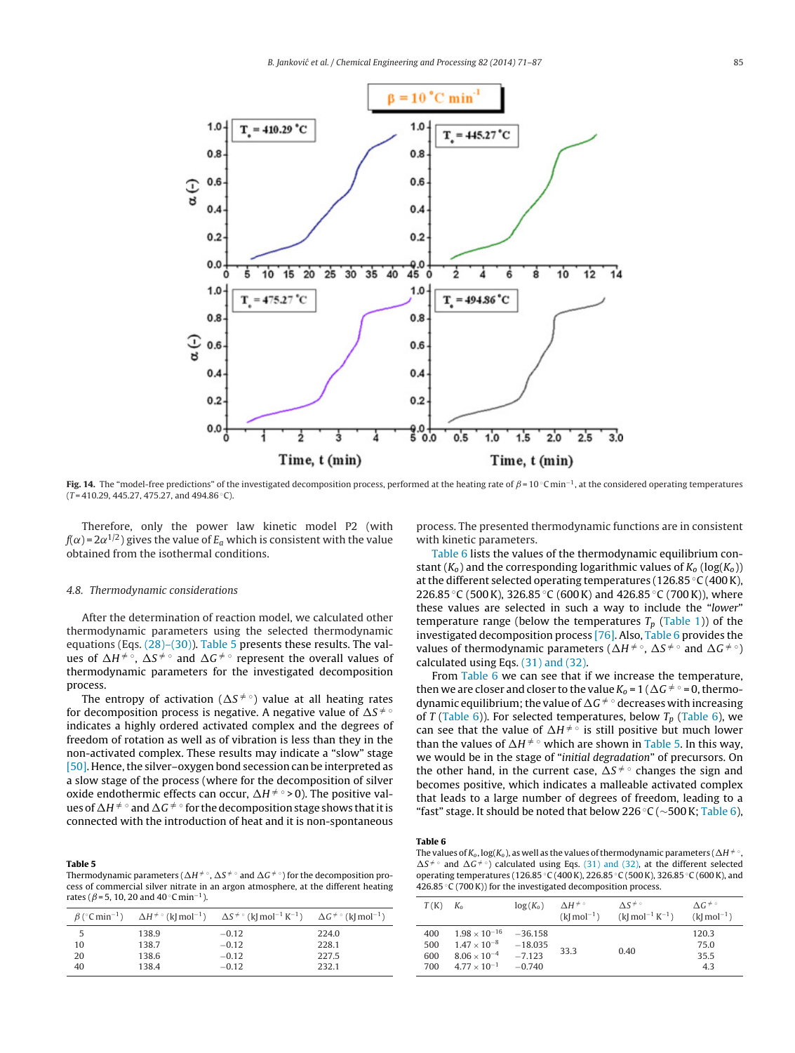<span id="page-14-0"></span>

Fig. 14. The "model-free predictions" of the investigated decomposition process, performed at the heating rate of  $\beta$  = 10 °C min<sup>-1</sup>, at the considered operating temperatures  $(T = 410.29, 445.27, 475.27, and 494.86 °C).$ 

Therefore, only the power law kinetic model P2 (with  ${\it f}(\alpha)$ =2 $\alpha^{1/2}$ ) gives the value of  $E_a$  which is consistent with the value obtained from the isothermal conditions.

#### 4.8. Thermodynamic considerations

After the determination of reaction model, we calculated other thermodynamic parameters using the selected thermodynamic equations (Eqs. [\(28\)–\(30\)\).](#page-5-0) Table 5 presents these results. The values of  $\Delta H^{\neq \circ}$ ,  $\Delta S^{\neq \circ}$  and  $\Delta G^{\neq \circ}$  represent the overall values of thermodynamic parameters for the investigated decomposition process.

The entropy of activation ( $\Delta S^{\neq \circ}$ ) value at all heating rates for decomposition process is negative. A negative value of  $\Delta S^{\,\neq\,\circ}$ indicates a highly ordered activated complex and the degrees of freedom of rotation as well as of vibration is less than they in the non-activated complex. These results may indicate a "slow" stage [\[50\].](#page-16-0) Hence, the silver–oxygen bond secession can be interpreted as a slow stage of the process (where for the decomposition of silver oxide endothermic effects can occur,  $\Delta H \neq \circ > 0$ ). The positive values of  $\Delta H ^{\neq\, \circ}$  and  $\Delta G ^{\neq\, \circ}$  for the decomposition stage shows that it is connected with the introduction of heat and it is non-spontaneous

#### Table 5

Thermodynamic parameters ( $\Delta H ^{\neq}$   $^\circ$ ,  $\Delta S ^{\neq}$   $^\circ$  and  $\Delta G ^{\neq}$   $^\circ$  ) for the decomposition process of commercial silver nitrate in an argon atmosphere, at the different heating rates ( $\beta$ =5, 10, 20 and 40 °C min<sup>-1</sup>).

|    |       | $\beta$ ( $\circ$ C min <sup>-1</sup> ) $\Delta H \neq \circ$ (k  mol <sup>-1</sup> ) $\Delta S \neq \circ$ (k  mol <sup>-1</sup> K <sup>-1</sup> ) $\Delta G \neq \circ$ (k  mol <sup>-1</sup> ) |       |
|----|-------|---------------------------------------------------------------------------------------------------------------------------------------------------------------------------------------------------|-------|
| 5  | 138.9 | $-0.12$                                                                                                                                                                                           | 224.0 |
| 10 | 138.7 | $-0.12$                                                                                                                                                                                           | 228.1 |
| 20 | 138.6 | $-0.12$                                                                                                                                                                                           | 227.5 |
| 40 | 138.4 | $-0.12$                                                                                                                                                                                           | 232.1 |

process. The presented thermodynamic functions are in consistent with kinetic parameters.

Table 6 lists the values of the thermodynamic equilibrium constant ( $K_0$ ) and the corresponding logarithmic values of  $K_0$  (log( $K_0$ )) at the different selected operating temperatures (126.85 ◦C (400K), 226.85 °C (500 K), 326.85 °C (600 K) and 426.85 °C (700 K)), where these values are selected in such a way to include the "lower" temperature range (below the temperatures  $T_p$  ([Table](#page-6-0) 1)) of the investigated decomposition process [\[76\].](#page-16-0) Also, Table 6 provides the values of thermodynamic parameters ( $\Delta H^{\neq \circ}$ ,  $\Delta S^{\neq \circ}$  and  $\Delta G^{\neq \circ}$ ) calculated using Eqs. [\(31\)](#page-5-0) [and](#page-5-0) [\(32\).](#page-5-0)

From Table 6 we can see that if we increase the temperature, then we are closer and closer to the value  $K_0 = 1$  ( $\Delta G \neq 0$ , thermodynamic equilibrium; the value of  $\Delta G^{\neq \circ}$  decreases with increasing of T (Table 6)). For selected temperatures, below  $T_p$  (Table 6), we can see that the value of  $\Delta H^{\neq \circ}$  is still positive but much lower than the values of  $\Delta H^{\neq \circ}$  which are shown in Table 5. In this way, we would be in the stage of "initial degradation" of precursors. On the other hand, in the current case,  $\Delta S^{\neq \circ}$  changes the sign and becomes positive, which indicates a malleable activated complex that leads to a large number of degrees of freedom, leading to a "fast" stage. It should be noted that below 226 °C ( $\sim$ 500 K; Table 6),

# Table 6

The values of  $K_0$ , log( $K_0$ ), as well as the values of thermodynamic parameters ( $\Delta H \neq \circ$ ,  $\Delta S^{\neq}$  [and](#page-5-0)  $\Delta G^{\neq}$  calculated using Eqs. [\(31\)](#page-5-0) and [\(32\),](#page-5-0) at the different selected operating temperatures (126.85 ◦C (400K), 226.85 ◦C (500K), 326.85 ◦C (600K), and 426.85 ◦C (700K)) for the investigated decomposition process.

| T(K)                     | $K_{\alpha}$                                                                                      | $log(K_0)$                                     | $\Lambda H^{\neq}$<br>$(k \mod -1)$ | $\Lambda S^{\neq \circ}$<br>$(k \mod -1 K^{-1})$ | $\Lambda G^{\neq \circ}$<br>$(k \mod -1)$ |
|--------------------------|---------------------------------------------------------------------------------------------------|------------------------------------------------|-------------------------------------|--------------------------------------------------|-------------------------------------------|
| 400<br>500<br>600<br>700 | $1.98 \times 10^{-16}$<br>$1.47 \times 10^{-8}$<br>$8.06 \times 10^{-4}$<br>$4.77 \times 10^{-1}$ | $-36.158$<br>$-18.035$<br>$-7.123$<br>$-0.740$ | 33.3                                | 0.40                                             | 120.3<br>75.0<br>35.5<br>4.3              |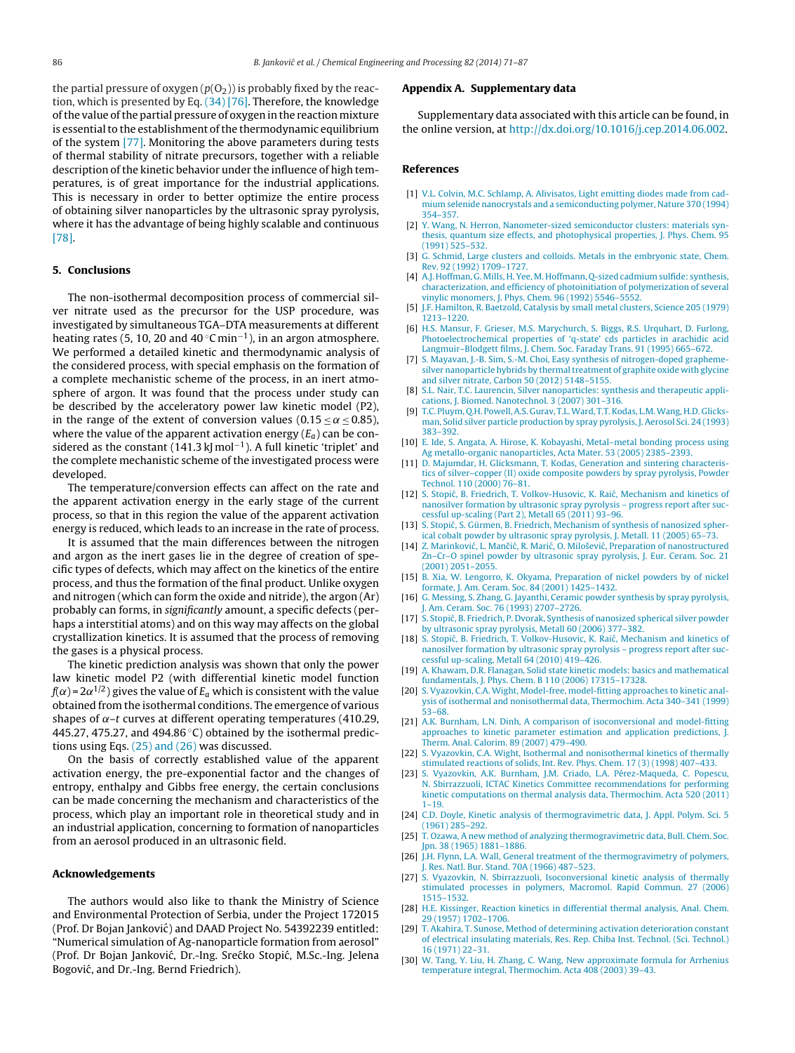<span id="page-15-0"></span>the partial pressure of oxygen  $(p(O_2))$  is probably fixed by the reaction, which is presented by Eq. [\(34\)](#page-8-0) [\[76\].](#page-16-0) Therefore, the knowledge ofthe value ofthe partial pressure of oxygen in the reaction mixture is essential to the establishment of the thermodynamic equilibrium of the system [\[77\].](#page-16-0) Monitoring the above parameters during tests of thermal stability of nitrate precursors, together with a reliable description of the kinetic behavior under the influence of high temperatures, is of great importance for the industrial applications. This is necessary in order to better optimize the entire process of obtaining silver nanoparticles by the ultrasonic spray pyrolysis, where it has the advantage of being highly scalable and continuous [\[78\].](#page-16-0)

## 5. Conclusions

The non-isothermal decomposition process of commercial silver nitrate used as the precursor for the USP procedure, was investigated by simultaneous TGA–DTA measurements at different heating rates (5, 10, 20 and 40 °C min<sup>-1</sup>), in an argon atmosphere. We performed a detailed kinetic and thermodynamic analysis of the considered process, with special emphasis on the formation of a complete mechanistic scheme of the process, in an inert atmosphere of argon. It was found that the process under study can be described by the acceleratory power law kinetic model (P2), in the range of the extent of conversion values (0.15  $\lt \alpha \lt 0.85$ ), where the value of the apparent activation energy  $(E_a)$  can be considered as the constant (141.3 kJ mol<sup>-1</sup>). A full kinetic 'triplet' and the complete mechanistic scheme of the investigated process were developed.

The temperature/conversion effects can affect on the rate and the apparent activation energy in the early stage of the current process, so that in this region the value of the apparent activation energy is reduced, which leads to an increase in the rate of process.

It is assumed that the main differences between the nitrogen and argon as the inert gases lie in the degree of creation of specific types of defects, which may affect on the kinetics of the entire process, and thus the formation of the final product. Unlike oxygen and nitrogen (which can form the oxide and nitride), the argon (Ar) probably can forms, in significantly amount, a specific defects (perhaps a interstitial atoms) and on this way may affects on the global crystallization kinetics. It is assumed that the process of removing the gases is a physical process.

The kinetic prediction analysis was shown that only the power law kinetic model P2 (with differential kinetic model function f( $\alpha$ )=2 $\alpha^{1/2}$ ) gives the value of  $E_a$  which is consistent with the value obtained from the isothermal conditions. The emergence of various shapes of  $\alpha$ –t curves at different operating temperatures (410.29, 445.27, 475.27, and 494.86 $\degree$ C) obtained by the isothermal predictions using Eqs. [\(25\)](#page-4-0) [and](#page-4-0) [\(26\)](#page-4-0) was discussed.

On the basis of correctly established value of the apparent activation energy, the pre-exponential factor and the changes of entropy, enthalpy and Gibbs free energy, the certain conclusions can be made concerning the mechanism and characteristics of the process, which play an important role in theoretical study and in an industrial application, concerning to formation of nanoparticles from an aerosol produced in an ultrasonic field.

## Acknowledgements

The authors would also like to thank the Ministry of Science and Environmental Protection of Serbia, under the Project 172015 (Prof. Dr Bojan Janković) and DAAD Project No. 54392239 entitled: "Numerical simulation of Ag-nanoparticle formation from aerosol" (Prof. Dr Bojan Janković, Dr.-Ing. Srećko Stopić, M.Sc.-Ing. Jelena Bogović, and Dr.-Ing. Bernd Friedrich).

#### Appendix A. Supplementary data

Supplementary data associated with this article can be found, in the online version, at <http://dx.doi.org/10.1016/j.cep.2014.06.002>.

## References

- [1] V.L. Colvin, M.C. Schlamp, A. Alivisatos, Light emitting diodes made from cadmium selenide nanocrystals and a semiconducting polymer, Nature 370 (1994) 354–357.
- [2] Y. Wang, N. Herron, Nanometer-sized semiconductor clusters: materials synthesis, quantum size effects, and photophysical properties, J. Phys. Chem. 95 (1991) 525–532.
- [3] G. Schmid, Large clusters and colloids. Metals in the embryonic state, Chem. Rev. 92 (1992) 1709–1727.
- [4] A.J. Hoffman, G. Mills, H. Yee, M. Hoffmann, Q-sized cadmium sulfide: synthesis, characterization, and efficiency of photoinitiation of polymerization of several vinylic monomers, J. Phys. Chem. 96 (1992) 5546–5552.
- [5] J.F. Hamilton, R. Baetzold, Catalysis by small metal clusters, Science 205 (1979) 1213–1220.
- [6] H.S. Mansur, F. Grieser, M.S. Marychurch, S. Biggs, R.S. Urquhart, D. Furlong, Photoelectrochemical properties of 'q-state' cds particles in arachidic acid
- Langmuir–Blodgett films, J. Chem. Soc. Faraday Trans. 91 (1995) 665–672. [7] S. Mayavan, J.-B. Sim, S.-M. Choi, Easy synthesis of nitrogen-doped graphemesilver nanoparticle hybrids by thermal treatment of graphite oxide with glycine and silver nitrate, Carbon 50 (2012) 5148–5155.
- S.L. Nair, T.C. Laurencin, Silver nanoparticles: synthesis and therapeutic applications, J. Biomed. Nanotechnol. 3 (2007) 301–316.
- [9] T.C. Pluym, Q.H. Powell,A.S. Gurav, T.L.Ward, T.T.Kodas, L.M.Wang, H.D. Glicksman, Solid silver particle production by spray pyrolysis, J. Aerosol Sci. 24 (1993) 383–392.
- [10] E. Ide, S. Angata, A. Hirose, K. Kobayashi, Metal–metal bonding process using Ag metallo-organic nanoparticles, Acta Mater. 53 (2005) 2385–2393.
- [11] D. Majumdar, H. Glicksmann, T. Kodas, Generation and sintering characteristics of silver–copper (II) oxide composite powders by spray pyrolysis, Powder Technol. 110 (2000) 76–81.
- [12] S. Stopić, B. Friedrich, T. Volkov-Husovic, K. Raić, Mechanism and kinetics of nanosilver formation by ultrasonic spray pyrolysis – progress report after successful up-scaling (Part 2), Metall 65 (2011) 93–96.
- [13] S. Stopić, S. Gürmen, B. Friedrich, Mechanism of synthesis of nanosized spherical cobalt powder by ultrasonic spray pyrolysis, J. Metall. 11 (2005) 65–73.
- [14] Z. Marinković, L. Mančić, R. Marić, O. Milošević, Preparation of nanostructured Zn–Cr–O spinel powder by ultrasonic spray pyrolysis, J. Eur. Ceram. Soc. 21 (2001) 2051–2055.
- [15] B. Xia, W. Lengorro, K. Okyama, Preparation of nickel powders by of nickel formate, J. Am. Ceram. Soc. 84 (2001) 1425–1432.
- [16] G. Messing, S. Zhang, G. Jayanthi, Ceramic powder synthesis by spray pyrolysis, J. Am. Ceram. Soc. 76 (1993) 2707–2726.
- [17] S. Stopić, B. Friedrich, P. Dvorak, Synthesis of nanosized spherical silver powder by ultrasonic spray pyrolysis, Metall 60 (2006) 377–382.
- [18] S. Stopić, B. Friedrich, T. Volkov-Husovic, K. Raić, Mechanism and kinetics of nanosilver formation by ultrasonic spray pyrolysis – progress report after successful up-scaling, Metall 64 (2010) 419–426.
- [19] A. Khawam, D.R. Flanagan, Solid state kinetic models: basics and mathematical fundamentals, J. Phys. Chem. B 110 (2006) 17315–17328.
- [20] S. Vyazovkin, C.A. Wight, Model-free, model-fitting approaches to kinetic analysis of isothermal and nonisothermal data, Thermochim. Acta 340–341 (1999) 53–68.
- [21] A.K. Burnham, L.N. Dinh, A comparison of isoconversional and model-fitting approaches to kinetic parameter estimation and application predictions, J. Therm. Anal. Calorim. 89 (2007) 479–490.
- [22] S. Vyazovkin, C.A. Wight, Isothermal and nonisothermal kinetics of thermally stimulated reactions of solids, Int. Rev. Phys. Chem. 17 (3) (1998) 407–433.
- [23] S. Vyazovkin, A.K. Burnham, J.M. Criado, L.A. Pérez-Maqueda, C. Popescu, N. Sbirrazzuoli, ICTAC Kinetics Committee recommendations for performing kinetic computations on thermal analysis data, Thermochim. Acta 520 (2011) 1–19.
- [24] C.D. Doyle, Kinetic analysis of thermogravimetric data, J. Appl. Polym. Sci. 5 (1961) 285–292.
- [25] T. Ozawa, A new method of analyzing thermogravimetric data, Bull. Chem. Soc. Jpn. 38 (1965) 1881–1886.
- [26] J.H. Flynn, L.A. Wall, General treatment of the thermogravimetry of polymers, J. Res. Natl. Bur. Stand. 70A (1966) 487–523.
- [27] S. Vyazovkin, N. Sbirrazzuoli, Isoconversional kinetic analysis of thermally stimulated processes in polymers, Macromol. Rapid Commun. 27 (2006) 1515–1532.
- [28] H.E. Kissinger, Reaction kinetics in differential thermal analysis, Anal. Chem. 29 (1957) 1702–1706.
- [29] T. Akahira, T. Sunose, Method of determining activation deterioration constant of electrical insulating materials, Res. Rep. Chiba Inst. Technol. (Sci. Technol.) 16 (1971) 22–31.
- [30] W. Tang, Y. Liu, H. Zhang, C. Wang, New approximate formula for Arrhenius temperature integral, Thermochim. Acta 408 (2003) 39–43.